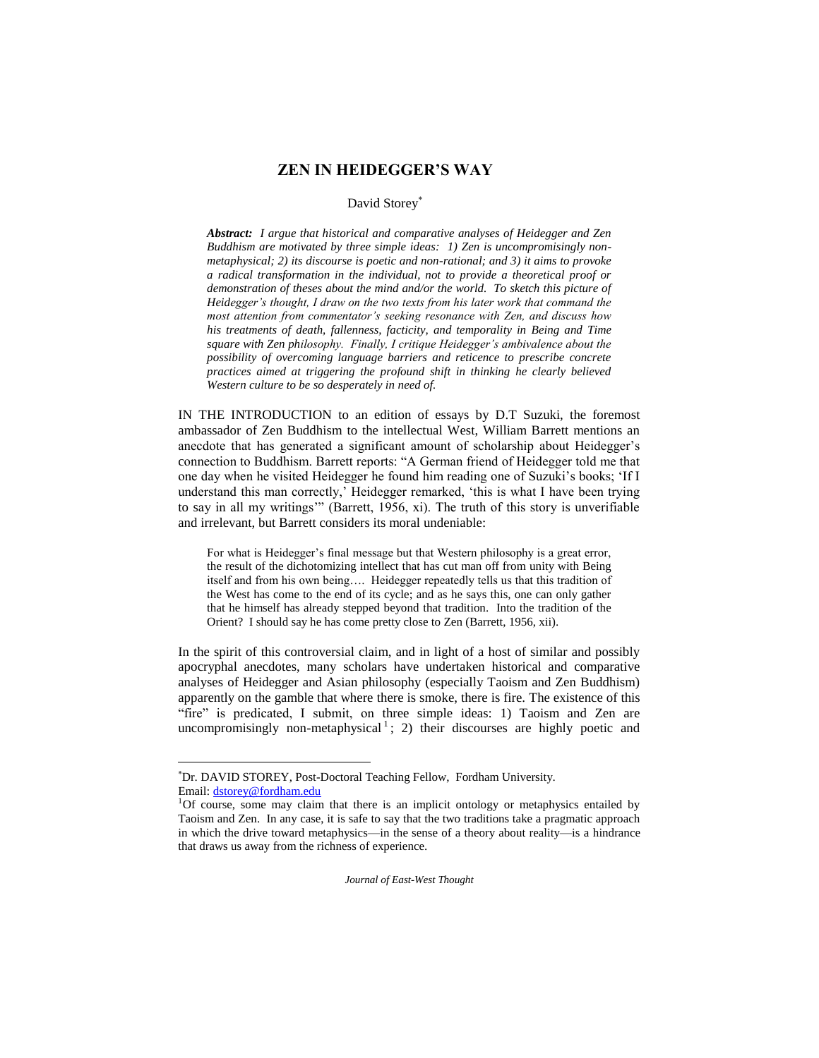# **ZEN IN HEIDEGGER'S WAY**

# David Storey

*Abstract: I argue that historical and comparative analyses of Heidegger and Zen Buddhism are motivated by three simple ideas: 1) Zen is uncompromisingly nonmetaphysical; 2) its discourse is poetic and non-rational; and 3) it aims to provoke a radical transformation in the individual, not to provide a theoretical proof or demonstration of theses about the mind and/or the world. To sketch this picture of Heidegger's thought, I draw on the two texts from his later work that command the most attention from commentator's seeking resonance with Zen, and discuss how his treatments of death, fallenness, facticity, and temporality in Being and Time square with Zen philosophy. Finally, I critique Heidegger's ambivalence about the possibility of overcoming language barriers and reticence to prescribe concrete practices aimed at triggering the profound shift in thinking he clearly believed Western culture to be so desperately in need of.* 

IN THE INTRODUCTION to an edition of essays by D.T Suzuki, the foremost ambassador of Zen Buddhism to the intellectual West, William Barrett mentions an anecdote that has generated a significant amount of scholarship about Heidegger's connection to Buddhism. Barrett reports: "A German friend of Heidegger told me that one day when he visited Heidegger he found him reading one of Suzuki's books; 'If I understand this man correctly,' Heidegger remarked, 'this is what I have been trying to say in all my writings'" (Barrett, 1956, xi). The truth of this story is unverifiable and irrelevant, but Barrett considers its moral undeniable:

For what is Heidegger's final message but that Western philosophy is a great error, the result of the dichotomizing intellect that has cut man off from unity with Being itself and from his own being…. Heidegger repeatedly tells us that this tradition of the West has come to the end of its cycle; and as he says this, one can only gather that he himself has already stepped beyond that tradition. Into the tradition of the Orient? I should say he has come pretty close to Zen (Barrett, 1956, xii).

In the spirit of this controversial claim, and in light of a host of similar and possibly apocryphal anecdotes, many scholars have undertaken historical and comparative analyses of Heidegger and Asian philosophy (especially Taoism and Zen Buddhism) apparently on the gamble that where there is smoke, there is fire. The existence of this "fire" is predicated, I submit, on three simple ideas: 1) Taoism and Zen are uncompromisingly non-metaphysical<sup>1</sup>; 2) their discourses are highly poetic and

 $\overline{\phantom{a}}$ 

Dr. DAVID STOREY, Post-Doctoral Teaching Fellow, Fordham University. Email[: dstorey@fordham.edu](mailto:dstorey@fordham.edu)

 $1$ Of course, some may claim that there is an implicit ontology or metaphysics entailed by Taoism and Zen. In any case, it is safe to say that the two traditions take a pragmatic approach in which the drive toward metaphysics—in the sense of a theory about reality—is a hindrance that draws us away from the richness of experience.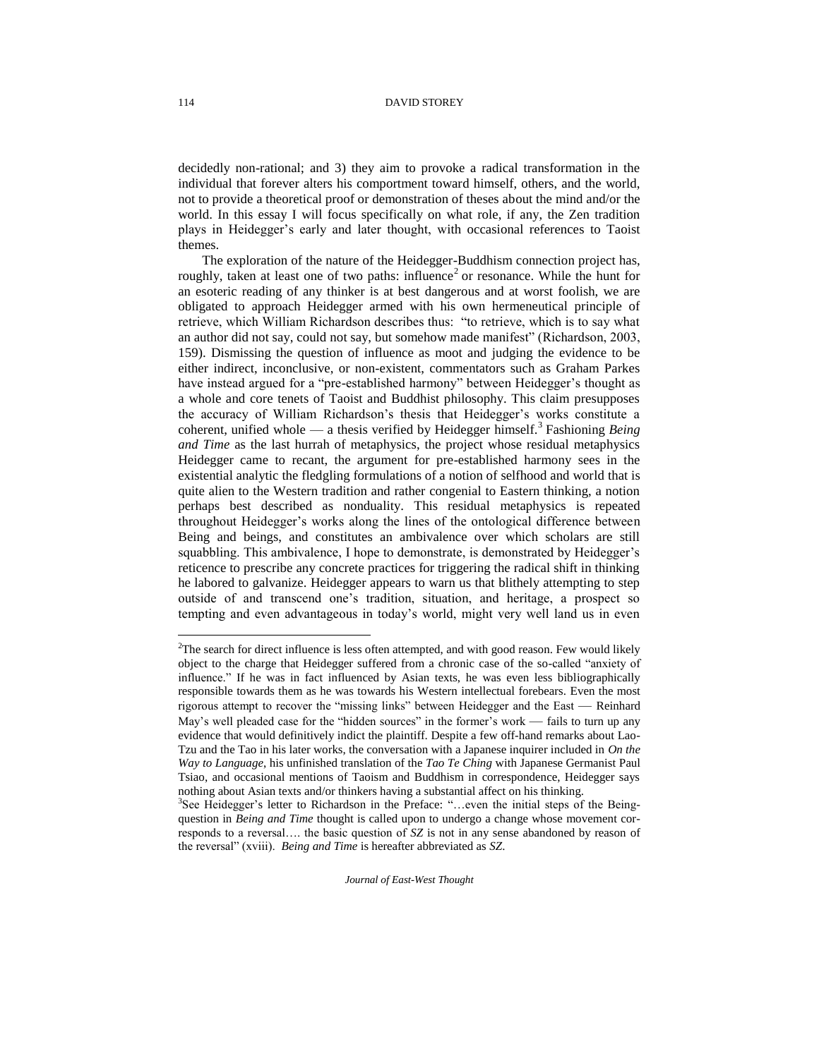decidedly non-rational; and 3) they aim to provoke a radical transformation in the individual that forever alters his comportment toward himself, others, and the world, not to provide a theoretical proof or demonstration of theses about the mind and/or the world. In this essay I will focus specifically on what role, if any, the Zen tradition plays in Heidegger's early and later thought, with occasional references to Taoist themes.

The exploration of the nature of the Heidegger-Buddhism connection project has, roughly, taken at least one of two paths: influence<sup>2</sup> or resonance. While the hunt for an esoteric reading of any thinker is at best dangerous and at worst foolish, we are obligated to approach Heidegger armed with his own hermeneutical principle of retrieve, which William Richardson describes thus: "to retrieve, which is to say what an author did not say, could not say, but somehow made manifest" (Richardson, 2003, 159). Dismissing the question of influence as moot and judging the evidence to be either indirect, inconclusive, or non-existent, commentators such as Graham Parkes have instead argued for a "pre-established harmony" between Heidegger's thought as a whole and core tenets of Taoist and Buddhist philosophy. This claim presupposes the accuracy of William Richardson's thesis that Heidegger's works constitute a coherent, unified whole — a thesis verified by Heidegger himself.<sup>3</sup> Fashioning *Being and Time* as the last hurrah of metaphysics, the project whose residual metaphysics Heidegger came to recant, the argument for pre-established harmony sees in the existential analytic the fledgling formulations of a notion of selfhood and world that is quite alien to the Western tradition and rather congenial to Eastern thinking, a notion perhaps best described as nonduality. This residual metaphysics is repeated throughout Heidegger's works along the lines of the ontological difference between Being and beings, and constitutes an ambivalence over which scholars are still squabbling. This ambivalence, I hope to demonstrate, is demonstrated by Heidegger's reticence to prescribe any concrete practices for triggering the radical shift in thinking he labored to galvanize. Heidegger appears to warn us that blithely attempting to step outside of and transcend one's tradition, situation, and heritage, a prospect so tempting and even advantageous in today's world, might very well land us in even

*Journal of East-West Thought* 

 $\overline{a}$ 

 $2$ The search for direct influence is less often attempted, and with good reason. Few would likely object to the charge that Heidegger suffered from a chronic case of the so-called "anxiety of influence." If he was in fact influenced by Asian texts, he was even less bibliographically responsible towards them as he was towards his Western intellectual forebears. Even the most rigorous attempt to recover the "missing links" between Heidegger and the East — Reinhard May's well pleaded case for the "hidden sources" in the former's work — fails to turn up any evidence that would definitively indict the plaintiff. Despite a few off-hand remarks about Lao-Tzu and the Tao in his later works, the conversation with a Japanese inquirer included in *On the Way to Language*, his unfinished translation of the *Tao Te Ching* with Japanese Germanist Paul Tsiao, and occasional mentions of Taoism and Buddhism in correspondence, Heidegger says nothing about Asian texts and/or thinkers having a substantial affect on his thinking.

<sup>&</sup>lt;sup>3</sup>See Heidegger's letter to Richardson in the Preface: "...even the initial steps of the Beingquestion in *Being and Time* thought is called upon to undergo a change whose movement corresponds to a reversal…. the basic question of *SZ* is not in any sense abandoned by reason of the reversal" (xviii). *Being and Time* is hereafter abbreviated as *SZ*.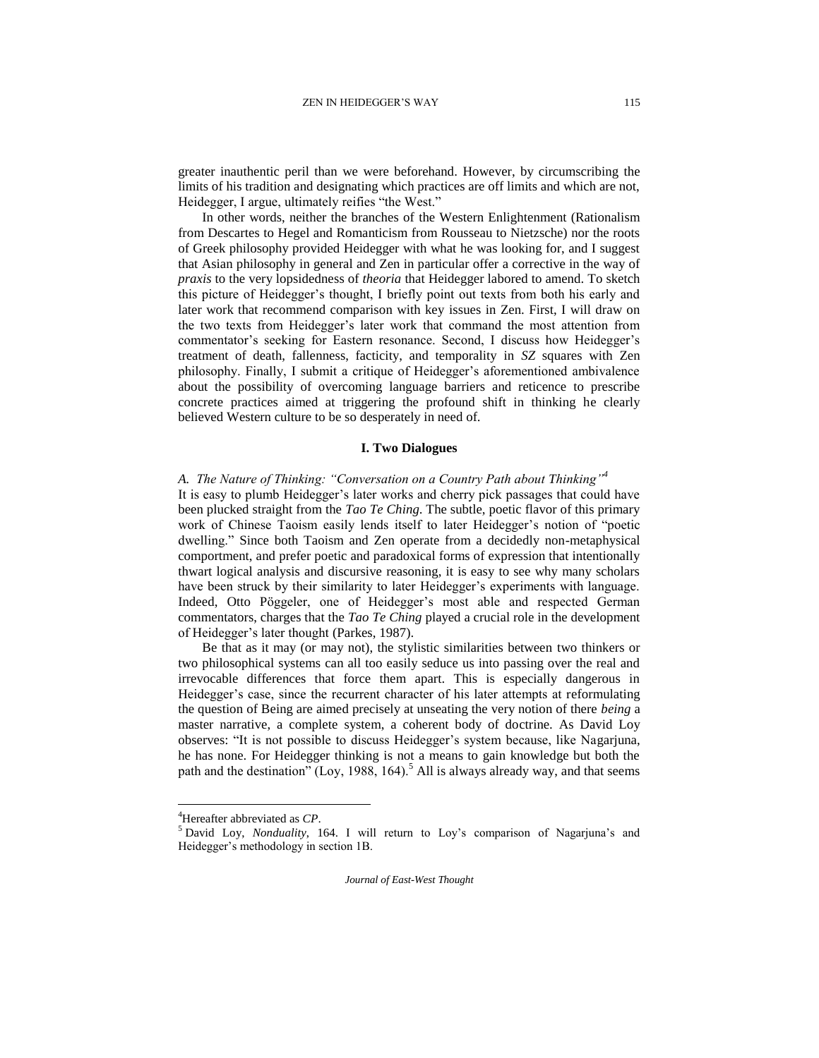greater inauthentic peril than we were beforehand. However, by circumscribing the limits of his tradition and designating which practices are off limits and which are not, Heidegger, I argue, ultimately reifies "the West."

In other words, neither the branches of the Western Enlightenment (Rationalism from Descartes to Hegel and Romanticism from Rousseau to Nietzsche) nor the roots of Greek philosophy provided Heidegger with what he was looking for, and I suggest that Asian philosophy in general and Zen in particular offer a corrective in the way of *praxis* to the very lopsidedness of *theoria* that Heidegger labored to amend. To sketch this picture of Heidegger's thought, I briefly point out texts from both his early and later work that recommend comparison with key issues in Zen. First, I will draw on the two texts from Heidegger's later work that command the most attention from commentator's seeking for Eastern resonance. Second, I discuss how Heidegger's treatment of death, fallenness, facticity, and temporality in *SZ* squares with Zen philosophy. Finally, I submit a critique of Heidegger's aforementioned ambivalence about the possibility of overcoming language barriers and reticence to prescribe concrete practices aimed at triggering the profound shift in thinking he clearly believed Western culture to be so desperately in need of.

### **I. Two Dialogues**

# *A. The Nature of Thinking: "Conversation on a Country Path about Thinking"<sup>4</sup>*

It is easy to plumb Heidegger's later works and cherry pick passages that could have been plucked straight from the *Tao Te Ching*. The subtle, poetic flavor of this primary work of Chinese Taoism easily lends itself to later Heidegger's notion of "poetic dwelling." Since both Taoism and Zen operate from a decidedly non-metaphysical comportment, and prefer poetic and paradoxical forms of expression that intentionally thwart logical analysis and discursive reasoning, it is easy to see why many scholars have been struck by their similarity to later Heidegger's experiments with language. Indeed, Otto Pöggeler, one of Heidegger's most able and respected German commentators, charges that the *Tao Te Ching* played a crucial role in the development of Heidegger's later thought (Parkes, 1987).

Be that as it may (or may not), the stylistic similarities between two thinkers or two philosophical systems can all too easily seduce us into passing over the real and irrevocable differences that force them apart. This is especially dangerous in Heidegger's case, since the recurrent character of his later attempts at reformulating the question of Being are aimed precisely at unseating the very notion of there *being* a master narrative, a complete system, a coherent body of doctrine. As David Loy observes: "It is not possible to discuss Heidegger's system because, like Nagarjuna, he has none. For Heidegger thinking is not a means to gain knowledge but both the path and the destination"  $(Loy, 1988, 164)$ .<sup>5</sup> All is always already way, and that seems

l

<sup>4</sup>Hereafter abbreviated as *CP*.

<sup>5</sup> David Loy, *Nonduality*, 164. I will return to Loy's comparison of Nagarjuna's and Heidegger's methodology in section 1B.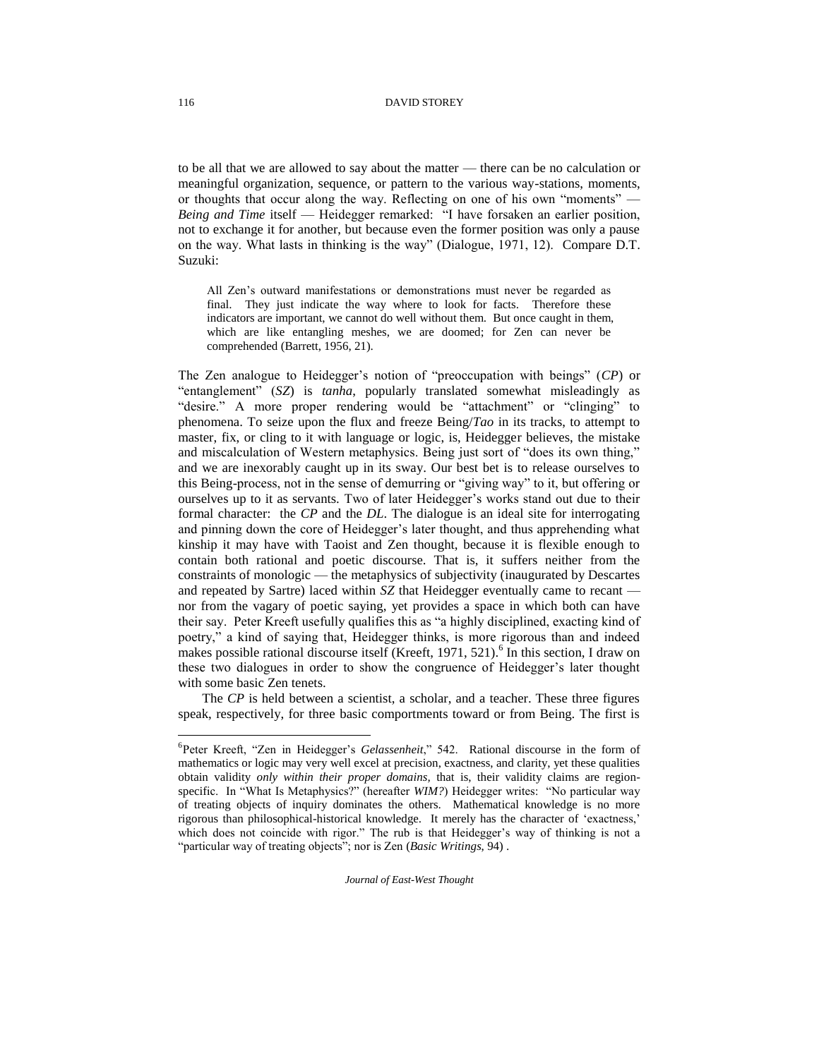to be all that we are allowed to say about the matter — there can be no calculation or meaningful organization, sequence, or pattern to the various way-stations, moments, or thoughts that occur along the way. Reflecting on one of his own "moments" — *Being and Time* itself — Heidegger remarked: "I have forsaken an earlier position, not to exchange it for another, but because even the former position was only a pause on the way. What lasts in thinking is the way" (Dialogue, 1971, 12). Compare D.T. Suzuki:

All Zen's outward manifestations or demonstrations must never be regarded as final. They just indicate the way where to look for facts. Therefore these indicators are important, we cannot do well without them. But once caught in them, which are like entangling meshes, we are doomed; for Zen can never be comprehended (Barrett, 1956, 21).

The Zen analogue to Heidegger's notion of "preoccupation with beings" (*CP*) or "entanglement" (*SZ*) is *tanha*, popularly translated somewhat misleadingly as "desire." A more proper rendering would be "attachment" or "clinging" to phenomena. To seize upon the flux and freeze Being/*Tao* in its tracks, to attempt to master, fix, or cling to it with language or logic, is, Heidegger believes, the mistake and miscalculation of Western metaphysics. Being just sort of "does its own thing," and we are inexorably caught up in its sway. Our best bet is to release ourselves to this Being-process, not in the sense of demurring or "giving way" to it, but offering or ourselves up to it as servants. Two of later Heidegger's works stand out due to their formal character: the *CP* and the *DL*. The dialogue is an ideal site for interrogating and pinning down the core of Heidegger's later thought, and thus apprehending what kinship it may have with Taoist and Zen thought, because it is flexible enough to contain both rational and poetic discourse. That is, it suffers neither from the constraints of monologic — the metaphysics of subjectivity (inaugurated by Descartes and repeated by Sartre) laced within *SZ* that Heidegger eventually came to recant nor from the vagary of poetic saying, yet provides a space in which both can have their say. Peter Kreeft usefully qualifies this as "a highly disciplined, exacting kind of poetry," a kind of saying that, Heidegger thinks, is more rigorous than and indeed makes possible rational discourse itself (Kreeft, 1971, 521).<sup>6</sup> In this section, I draw on these two dialogues in order to show the congruence of Heidegger's later thought with some basic Zen tenets.

The *CP* is held between a scientist, a scholar, and a teacher. These three figures speak, respectively, for three basic comportments toward or from Being. The first is

*Journal of East-West Thought* 

<sup>6</sup> Peter Kreeft, "Zen in Heidegger's *Gelassenheit*," 542. Rational discourse in the form of mathematics or logic may very well excel at precision, exactness, and clarity, yet these qualities obtain validity *only within their proper domains,* that is, their validity claims are regionspecific. In "What Is Metaphysics?" (hereafter *WIM?*) Heidegger writes: "No particular way of treating objects of inquiry dominates the others. Mathematical knowledge is no more rigorous than philosophical-historical knowledge. It merely has the character of 'exactness,' which does not coincide with rigor." The rub is that Heidegger's way of thinking is not a "particular way of treating objects"; nor is Zen (*Basic Writings*, 94) .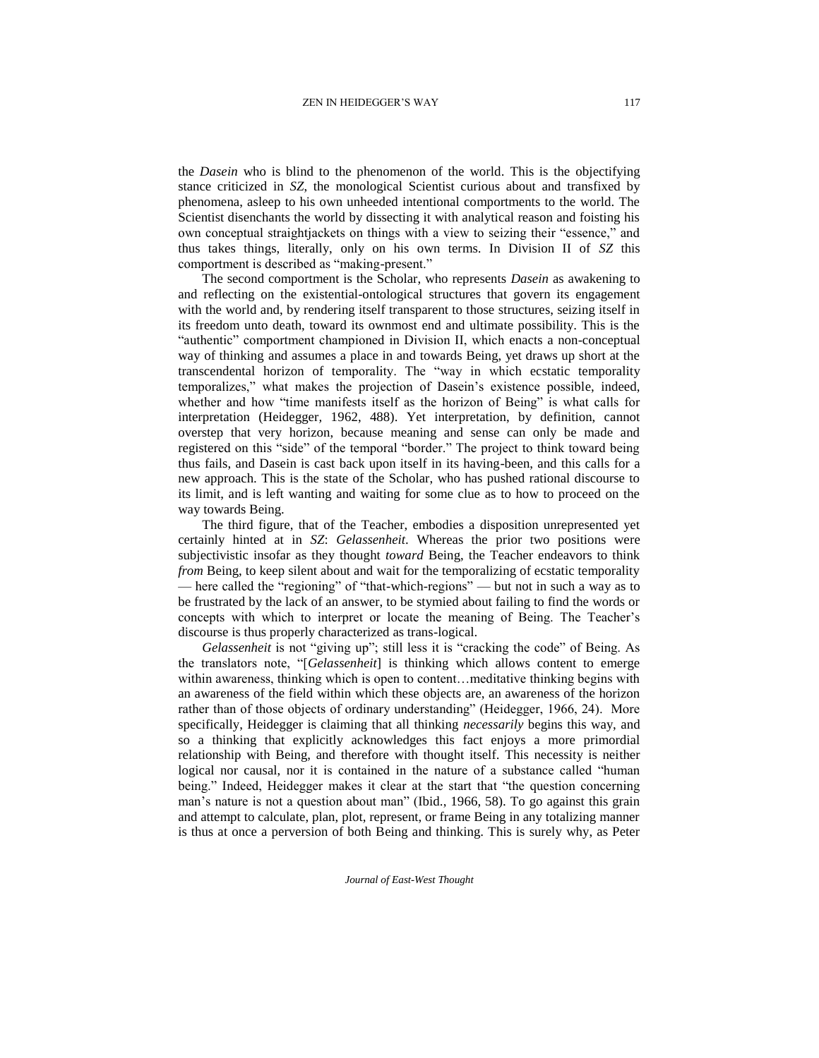the *Dasein* who is blind to the phenomenon of the world. This is the objectifying stance criticized in *SZ*, the monological Scientist curious about and transfixed by phenomena, asleep to his own unheeded intentional comportments to the world. The Scientist disenchants the world by dissecting it with analytical reason and foisting his own conceptual straightjackets on things with a view to seizing their "essence," and thus takes things, literally, only on his own terms. In Division II of *SZ* this comportment is described as "making-present."

The second comportment is the Scholar, who represents *Dasein* as awakening to and reflecting on the existential-ontological structures that govern its engagement with the world and, by rendering itself transparent to those structures, seizing itself in its freedom unto death, toward its ownmost end and ultimate possibility. This is the "authentic" comportment championed in Division II, which enacts a non-conceptual way of thinking and assumes a place in and towards Being, yet draws up short at the transcendental horizon of temporality. The "way in which ecstatic temporality temporalizes," what makes the projection of Dasein's existence possible, indeed, whether and how "time manifests itself as the horizon of Being" is what calls for interpretation (Heidegger*,* 1962, 488). Yet interpretation, by definition, cannot overstep that very horizon, because meaning and sense can only be made and registered on this "side" of the temporal "border." The project to think toward being thus fails, and Dasein is cast back upon itself in its having-been, and this calls for a new approach. This is the state of the Scholar, who has pushed rational discourse to its limit, and is left wanting and waiting for some clue as to how to proceed on the way towards Being.

The third figure, that of the Teacher, embodies a disposition unrepresented yet certainly hinted at in *SZ*: *Gelassenheit*. Whereas the prior two positions were subjectivistic insofar as they thought *toward* Being, the Teacher endeavors to think *from* Being, to keep silent about and wait for the temporalizing of ecstatic temporality — here called the "regioning" of "that-which-regions" — but not in such a way as to be frustrated by the lack of an answer, to be stymied about failing to find the words or concepts with which to interpret or locate the meaning of Being. The Teacher's discourse is thus properly characterized as trans-logical.

*Gelassenheit* is not "giving up"; still less it is "cracking the code" of Being. As the translators note, "[*Gelassenheit*] is thinking which allows content to emerge within awareness, thinking which is open to content... meditative thinking begins with an awareness of the field within which these objects are, an awareness of the horizon rather than of those objects of ordinary understanding" (Heidegger, 1966, 24). More specifically, Heidegger is claiming that all thinking *necessarily* begins this way, and so a thinking that explicitly acknowledges this fact enjoys a more primordial relationship with Being, and therefore with thought itself. This necessity is neither logical nor causal, nor it is contained in the nature of a substance called "human being." Indeed, Heidegger makes it clear at the start that "the question concerning man's nature is not a question about man" (Ibid., 1966, 58). To go against this grain and attempt to calculate, plan, plot, represent, or frame Being in any totalizing manner is thus at once a perversion of both Being and thinking. This is surely why, as Peter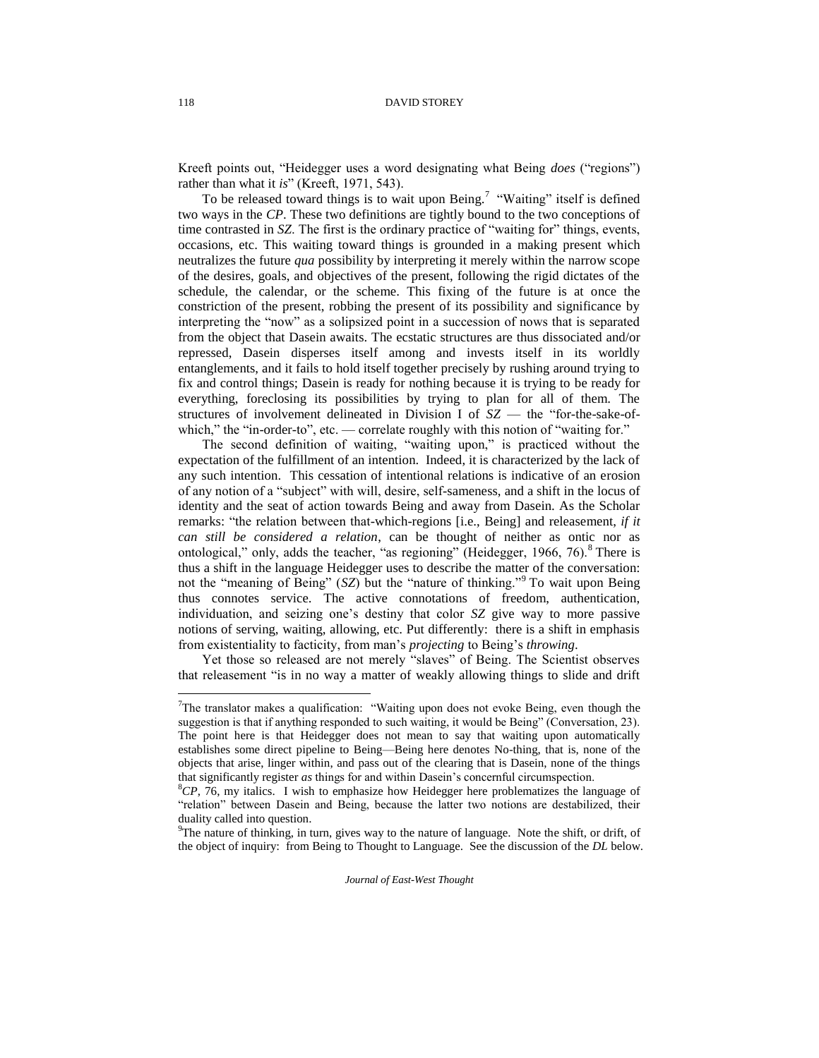Kreeft points out, "Heidegger uses a word designating what Being *does* ("regions") rather than what it *is*" (Kreeft, 1971, 543).

To be released toward things is to wait upon Being.<sup>7</sup> "Waiting" itself is defined two ways in the *CP*. These two definitions are tightly bound to the two conceptions of time contrasted in *SZ*. The first is the ordinary practice of "waiting for" things, events, occasions, etc. This waiting toward things is grounded in a making present which neutralizes the future *qua* possibility by interpreting it merely within the narrow scope of the desires, goals, and objectives of the present, following the rigid dictates of the schedule, the calendar, or the scheme. This fixing of the future is at once the constriction of the present, robbing the present of its possibility and significance by interpreting the "now" as a solipsized point in a succession of nows that is separated from the object that Dasein awaits. The ecstatic structures are thus dissociated and/or repressed, Dasein disperses itself among and invests itself in its worldly entanglements, and it fails to hold itself together precisely by rushing around trying to fix and control things; Dasein is ready for nothing because it is trying to be ready for everything, foreclosing its possibilities by trying to plan for all of them. The structures of involvement delineated in Division I of *SZ* — the "for-the-sake-ofwhich," the "in-order-to", etc. — correlate roughly with this notion of "waiting for."

The second definition of waiting, "waiting upon," is practiced without the expectation of the fulfillment of an intention. Indeed, it is characterized by the lack of any such intention. This cessation of intentional relations is indicative of an erosion of any notion of a "subject" with will, desire, self-sameness, and a shift in the locus of identity and the seat of action towards Being and away from Dasein. As the Scholar remarks: "the relation between that-which-regions [i.e., Being] and releasement, *if it can still be considered a relation*, can be thought of neither as ontic nor as ontological," only, adds the teacher, "as regioning" (Heidegger, 1966, 76). <sup>8</sup> There is thus a shift in the language Heidegger uses to describe the matter of the conversation: not the "meaning of Being" (*SZ*) but the "nature of thinking."<sup>9</sup> To wait upon Being thus connotes service. The active connotations of freedom, authentication, individuation, and seizing one's destiny that color *SZ* give way to more passive notions of serving, waiting, allowing, etc. Put differently: there is a shift in emphasis from existentiality to facticity, from man's *projecting* to Being's *throwing*.

Yet those so released are not merely "slaves" of Being. The Scientist observes that releasement "is in no way a matter of weakly allowing things to slide and drift

<sup>7</sup>The translator makes a qualification: "Waiting upon does not evoke Being, even though the suggestion is that if anything responded to such waiting, it would be Being" (Conversation, 23). The point here is that Heidegger does not mean to say that waiting upon automatically establishes some direct pipeline to Being—Being here denotes No-thing, that is, none of the objects that arise, linger within, and pass out of the clearing that is Dasein, none of the things that significantly register *as* things for and within Dasein's concernful circumspection.

<sup>&</sup>lt;sup>8</sup>CP, 76, my italics. I wish to emphasize how Heidegger here problematizes the language of "relation" between Dasein and Being, because the latter two notions are destabilized, their duality called into question.

 $9^9$ The nature of thinking, in turn, gives way to the nature of language. Note the shift, or drift, of the object of inquiry: from Being to Thought to Language. See the discussion of the *DL* below.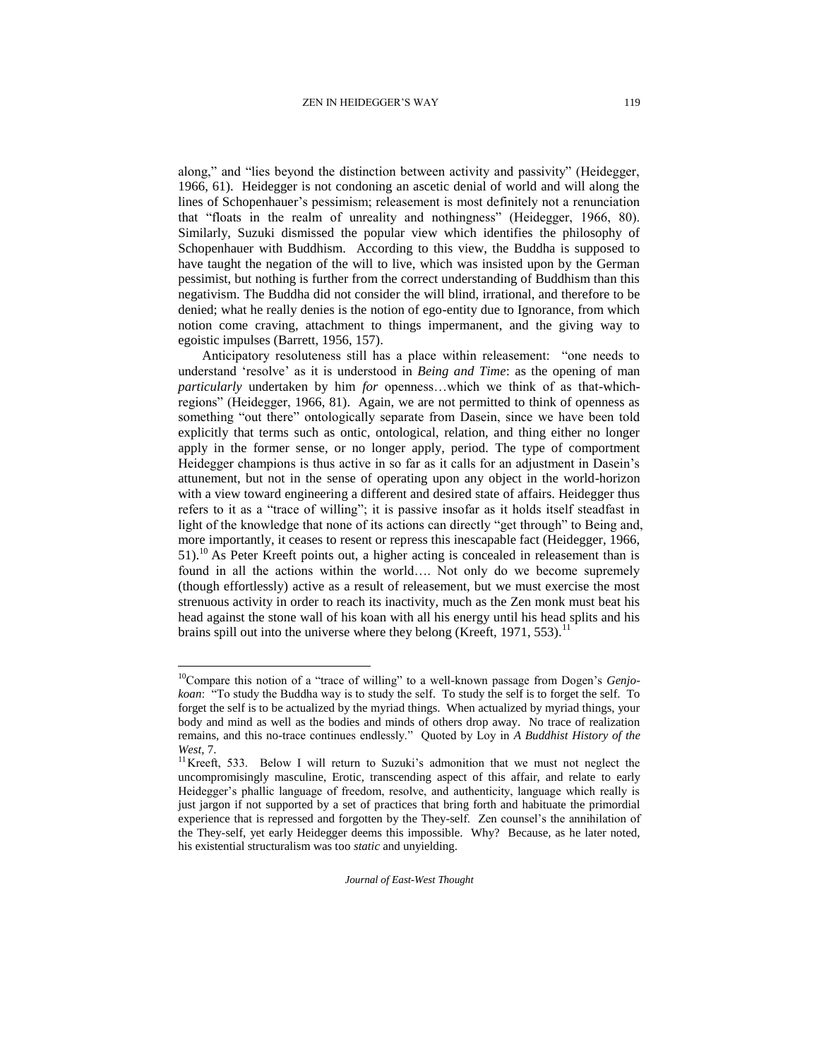along," and "lies beyond the distinction between activity and passivity" (Heidegger, 1966, 61). Heidegger is not condoning an ascetic denial of world and will along the lines of Schopenhauer's pessimism; releasement is most definitely not a renunciation that "floats in the realm of unreality and nothingness" (Heidegger, 1966, 80). Similarly, Suzuki dismissed the popular view which identifies the philosophy of Schopenhauer with Buddhism. According to this view, the Buddha is supposed to have taught the negation of the will to live, which was insisted upon by the German pessimist, but nothing is further from the correct understanding of Buddhism than this negativism. The Buddha did not consider the will blind, irrational, and therefore to be denied; what he really denies is the notion of ego-entity due to Ignorance, from which notion come craving, attachment to things impermanent, and the giving way to egoistic impulses (Barrett, 1956, 157).

Anticipatory resoluteness still has a place within releasement: "one needs to understand 'resolve' as it is understood in *Being and Time*: as the opening of man *particularly* undertaken by him *for* openness…which we think of as that-whichregions" (Heidegger, 1966, 81). Again, we are not permitted to think of openness as something "out there" ontologically separate from Dasein, since we have been told explicitly that terms such as ontic, ontological, relation, and thing either no longer apply in the former sense, or no longer apply, period. The type of comportment Heidegger champions is thus active in so far as it calls for an adjustment in Dasein's attunement, but not in the sense of operating upon any object in the world-horizon with a view toward engineering a different and desired state of affairs. Heidegger thus refers to it as a "trace of willing"; it is passive insofar as it holds itself steadfast in light of the knowledge that none of its actions can directly "get through" to Being and, more importantly, it ceases to resent or repress this inescapable fact (Heidegger, 1966,  $51$ ).<sup>10</sup> As Peter Kreeft points out, a higher acting is concealed in releasement than is found in all the actions within the world…. Not only do we become supremely (though effortlessly) active as a result of releasement, but we must exercise the most strenuous activity in order to reach its inactivity, much as the Zen monk must beat his head against the stone wall of his koan with all his energy until his head splits and his brains spill out into the universe where they belong (Kreeft, 1971, 553).<sup>11</sup>

 $\overline{\phantom{a}}$ 

<sup>10</sup>Compare this notion of a "trace of willing" to a well-known passage from Dogen's *Genjokoan*: "To study the Buddha way is to study the self. To study the self is to forget the self. To forget the self is to be actualized by the myriad things. When actualized by myriad things, your body and mind as well as the bodies and minds of others drop away. No trace of realization remains, and this no-trace continues endlessly." Quoted by Loy in *A Buddhist History of the West*, 7.

<sup>&</sup>lt;sup>11</sup>Kreeft, 533. Below I will return to Suzuki's admonition that we must not neglect the uncompromisingly masculine, Erotic, transcending aspect of this affair, and relate to early Heidegger's phallic language of freedom, resolve, and authenticity, language which really is just jargon if not supported by a set of practices that bring forth and habituate the primordial experience that is repressed and forgotten by the They-self. Zen counsel's the annihilation of the They-self, yet early Heidegger deems this impossible. Why? Because, as he later noted, his existential structuralism was too *static* and unyielding.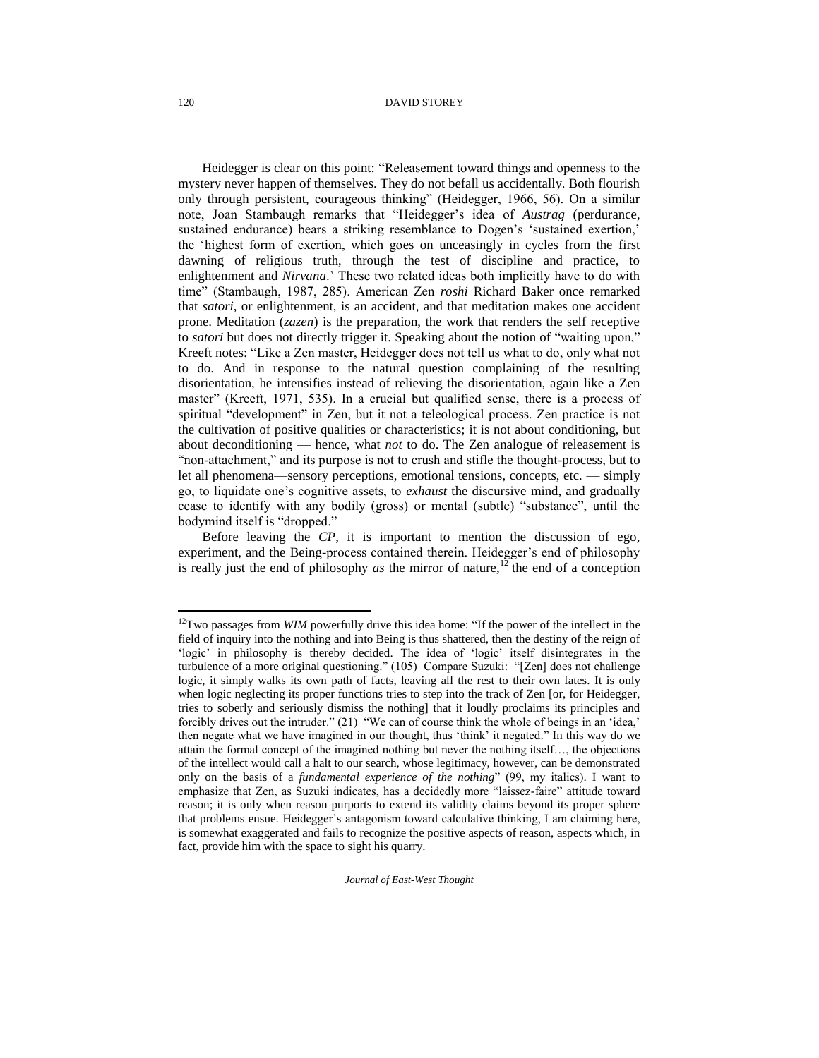Heidegger is clear on this point: "Releasement toward things and openness to the mystery never happen of themselves. They do not befall us accidentally. Both flourish only through persistent, courageous thinking" (Heidegger, 1966, 56). On a similar note, Joan Stambaugh remarks that "Heidegger's idea of *Austrag* (perdurance, sustained endurance) bears a striking resemblance to Dogen's 'sustained exertion,' the 'highest form of exertion, which goes on unceasingly in cycles from the first dawning of religious truth, through the test of discipline and practice, to enlightenment and *Nirvana*.' These two related ideas both implicitly have to do with time" (Stambaugh, 1987, 285). American Zen *roshi* Richard Baker once remarked that *satori*, or enlightenment, is an accident, and that meditation makes one accident prone. Meditation (*zazen*) is the preparation, the work that renders the self receptive to *satori* but does not directly trigger it. Speaking about the notion of "waiting upon," Kreeft notes: "Like a Zen master, Heidegger does not tell us what to do, only what not to do. And in response to the natural question complaining of the resulting disorientation, he intensifies instead of relieving the disorientation, again like a Zen master" (Kreeft, 1971, 535). In a crucial but qualified sense, there is a process of spiritual "development" in Zen, but it not a teleological process. Zen practice is not the cultivation of positive qualities or characteristics; it is not about conditioning, but about deconditioning — hence, what *not* to do. The Zen analogue of releasement is "non-attachment," and its purpose is not to crush and stifle the thought-process, but to let all phenomena—sensory perceptions, emotional tensions, concepts, etc. — simply go, to liquidate one's cognitive assets, to *exhaust* the discursive mind, and gradually cease to identify with any bodily (gross) or mental (subtle) "substance", until the bodymind itself is "dropped."

Before leaving the *CP*, it is important to mention the discussion of ego, experiment, and the Being-process contained therein. Heidegger's end of philosophy is really just the end of philosophy *as* the mirror of nature,<sup>12</sup> the end of a conception

*Journal of East-West Thought* 

 $\overline{a}$ 

<sup>&</sup>lt;sup>12</sup>Two passages from *WIM* powerfully drive this idea home: "If the power of the intellect in the field of inquiry into the nothing and into Being is thus shattered, then the destiny of the reign of 'logic' in philosophy is thereby decided. The idea of 'logic' itself disintegrates in the turbulence of a more original questioning." (105) Compare Suzuki: "[Zen] does not challenge logic, it simply walks its own path of facts, leaving all the rest to their own fates. It is only when logic neglecting its proper functions tries to step into the track of Zen [or, for Heidegger, tries to soberly and seriously dismiss the nothing] that it loudly proclaims its principles and forcibly drives out the intruder." (21) "We can of course think the whole of beings in an 'idea,' then negate what we have imagined in our thought, thus 'think' it negated." In this way do we attain the formal concept of the imagined nothing but never the nothing itself…, the objections of the intellect would call a halt to our search, whose legitimacy, however, can be demonstrated only on the basis of a *fundamental experience of the nothing*" (99, my italics). I want to emphasize that Zen, as Suzuki indicates, has a decidedly more "laissez-faire" attitude toward reason; it is only when reason purports to extend its validity claims beyond its proper sphere that problems ensue. Heidegger's antagonism toward calculative thinking, I am claiming here, is somewhat exaggerated and fails to recognize the positive aspects of reason, aspects which, in fact, provide him with the space to sight his quarry.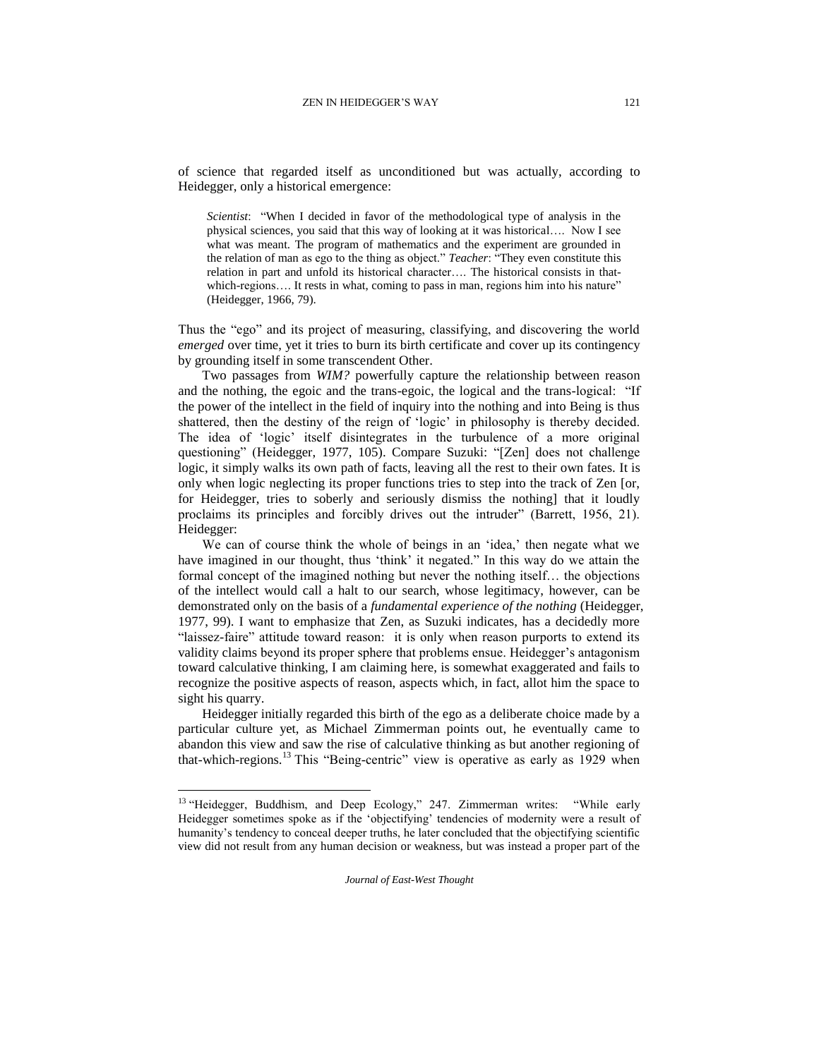of science that regarded itself as unconditioned but was actually, according to Heidegger, only a historical emergence:

*Scientist*: "When I decided in favor of the methodological type of analysis in the physical sciences, you said that this way of looking at it was historical…. Now I see what was meant. The program of mathematics and the experiment are grounded in the relation of man as ego to the thing as object." *Teacher*: "They even constitute this relation in part and unfold its historical character…. The historical consists in thatwhich-regions.... It rests in what, coming to pass in man, regions him into his nature" (Heidegger, 1966, 79).

Thus the "ego" and its project of measuring, classifying, and discovering the world *emerged* over time, yet it tries to burn its birth certificate and cover up its contingency by grounding itself in some transcendent Other.

Two passages from *WIM?* powerfully capture the relationship between reason and the nothing, the egoic and the trans-egoic, the logical and the trans-logical: "If the power of the intellect in the field of inquiry into the nothing and into Being is thus shattered, then the destiny of the reign of 'logic' in philosophy is thereby decided. The idea of 'logic' itself disintegrates in the turbulence of a more original questioning" (Heidegger, 1977, 105). Compare Suzuki: "[Zen] does not challenge logic, it simply walks its own path of facts, leaving all the rest to their own fates. It is only when logic neglecting its proper functions tries to step into the track of Zen [or, for Heidegger, tries to soberly and seriously dismiss the nothing] that it loudly proclaims its principles and forcibly drives out the intruder" (Barrett, 1956, 21). Heidegger:

We can of course think the whole of beings in an 'idea,' then negate what we have imagined in our thought, thus 'think' it negated." In this way do we attain the formal concept of the imagined nothing but never the nothing itself… the objections of the intellect would call a halt to our search, whose legitimacy, however, can be demonstrated only on the basis of a *fundamental experience of the nothing* (Heidegger, 1977, 99). I want to emphasize that Zen, as Suzuki indicates, has a decidedly more "laissez-faire" attitude toward reason: it is only when reason purports to extend its validity claims beyond its proper sphere that problems ensue. Heidegger's antagonism toward calculative thinking, I am claiming here, is somewhat exaggerated and fails to recognize the positive aspects of reason, aspects which, in fact, allot him the space to sight his quarry.

Heidegger initially regarded this birth of the ego as a deliberate choice made by a particular culture yet, as Michael Zimmerman points out, he eventually came to abandon this view and saw the rise of calculative thinking as but another regioning of that-which-regions.<sup>13</sup> This "Being-centric" view is operative as early as 1929 when

<sup>&</sup>lt;sup>13</sup> "Heidegger, Buddhism, and Deep Ecology," 247. Zimmerman writes: "While early Heidegger sometimes spoke as if the 'objectifying' tendencies of modernity were a result of humanity's tendency to conceal deeper truths, he later concluded that the objectifying scientific view did not result from any human decision or weakness, but was instead a proper part of the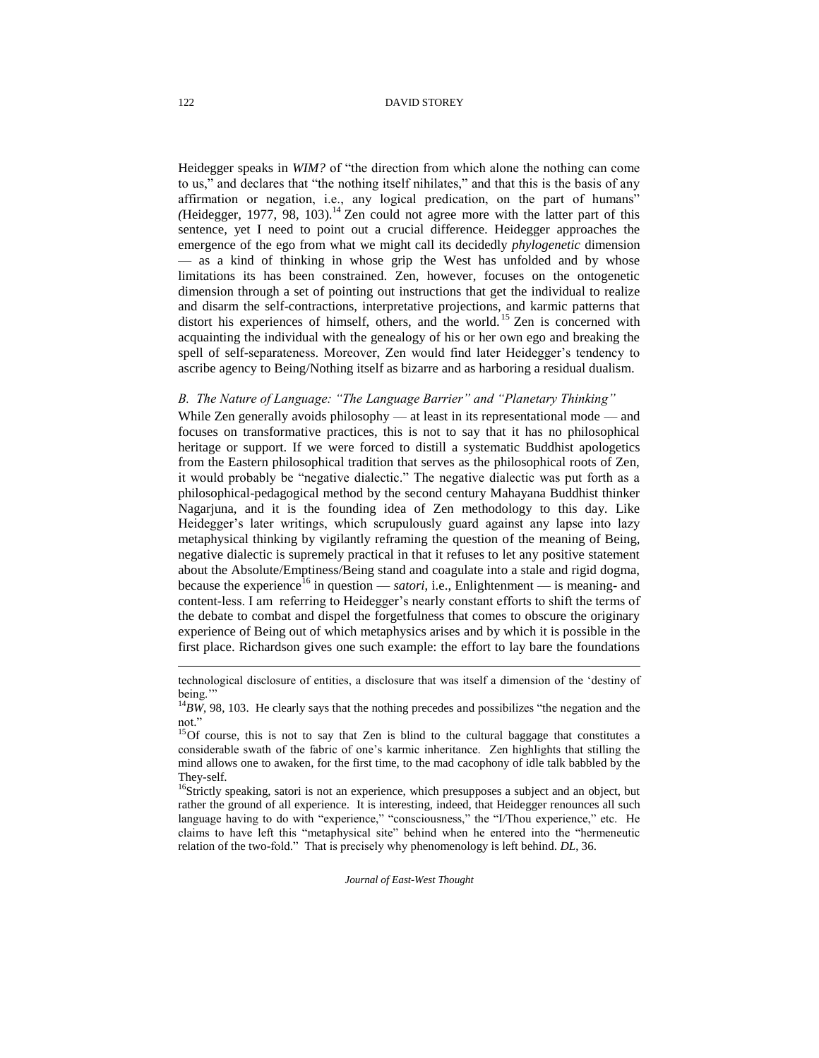Heidegger speaks in *WIM?* of "the direction from which alone the nothing can come to us," and declares that "the nothing itself nihilates," and that this is the basis of any affirmation or negation, i.e., any logical predication, on the part of humans"  $(Heidegger, 1977, 98, 103).$ <sup>14</sup> Zen could not agree more with the latter part of this sentence, yet I need to point out a crucial difference. Heidegger approaches the emergence of the ego from what we might call its decidedly *phylogenetic* dimension — as a kind of thinking in whose grip the West has unfolded and by whose limitations its has been constrained. Zen, however, focuses on the ontogenetic dimension through a set of pointing out instructions that get the individual to realize and disarm the self-contractions, interpretative projections, and karmic patterns that distort his experiences of himself, others, and the world.<sup>15</sup> Zen is concerned with acquainting the individual with the genealogy of his or her own ego and breaking the spell of self-separateness. Moreover, Zen would find later Heidegger's tendency to ascribe agency to Being/Nothing itself as bizarre and as harboring a residual dualism.

## *B. The Nature of Language: "The Language Barrier" and "Planetary Thinking"*

While Zen generally avoids philosophy — at least in its representational mode — and focuses on transformative practices, this is not to say that it has no philosophical heritage or support. If we were forced to distill a systematic Buddhist apologetics from the Eastern philosophical tradition that serves as the philosophical roots of Zen, it would probably be "negative dialectic." The negative dialectic was put forth as a philosophical-pedagogical method by the second century Mahayana Buddhist thinker Nagarjuna, and it is the founding idea of Zen methodology to this day. Like Heidegger's later writings, which scrupulously guard against any lapse into lazy metaphysical thinking by vigilantly reframing the question of the meaning of Being, negative dialectic is supremely practical in that it refuses to let any positive statement about the Absolute/Emptiness/Being stand and coagulate into a stale and rigid dogma, because the experience<sup>16</sup> in question — *satori*, i.e., Enlightenment — is meaning- and content-less. I am referring to Heidegger's nearly constant efforts to shift the terms of the debate to combat and dispel the forgetfulness that comes to obscure the originary experience of Being out of which metaphysics arises and by which it is possible in the first place. Richardson gives one such example: the effort to lay bare the foundations

*Journal of East-West Thought* 

technological disclosure of entities, a disclosure that was itself a dimension of the 'destiny of being.'"

 $14$ *BW*, 98, 103. He clearly says that the nothing precedes and possibilizes "the negation and the not."

<sup>&</sup>lt;sup>15</sup>Of course, this is not to say that Zen is blind to the cultural baggage that constitutes a considerable swath of the fabric of one's karmic inheritance. Zen highlights that stilling the mind allows one to awaken, for the first time, to the mad cacophony of idle talk babbled by the They-self.

<sup>&</sup>lt;sup>16</sup>Strictly speaking, satori is not an experience, which presupposes a subject and an object, but rather the ground of all experience. It is interesting, indeed, that Heidegger renounces all such language having to do with "experience," "consciousness," the "I/Thou experience," etc. He claims to have left this "metaphysical site" behind when he entered into the "hermeneutic relation of the two-fold." That is precisely why phenomenology is left behind. *DL*, 36.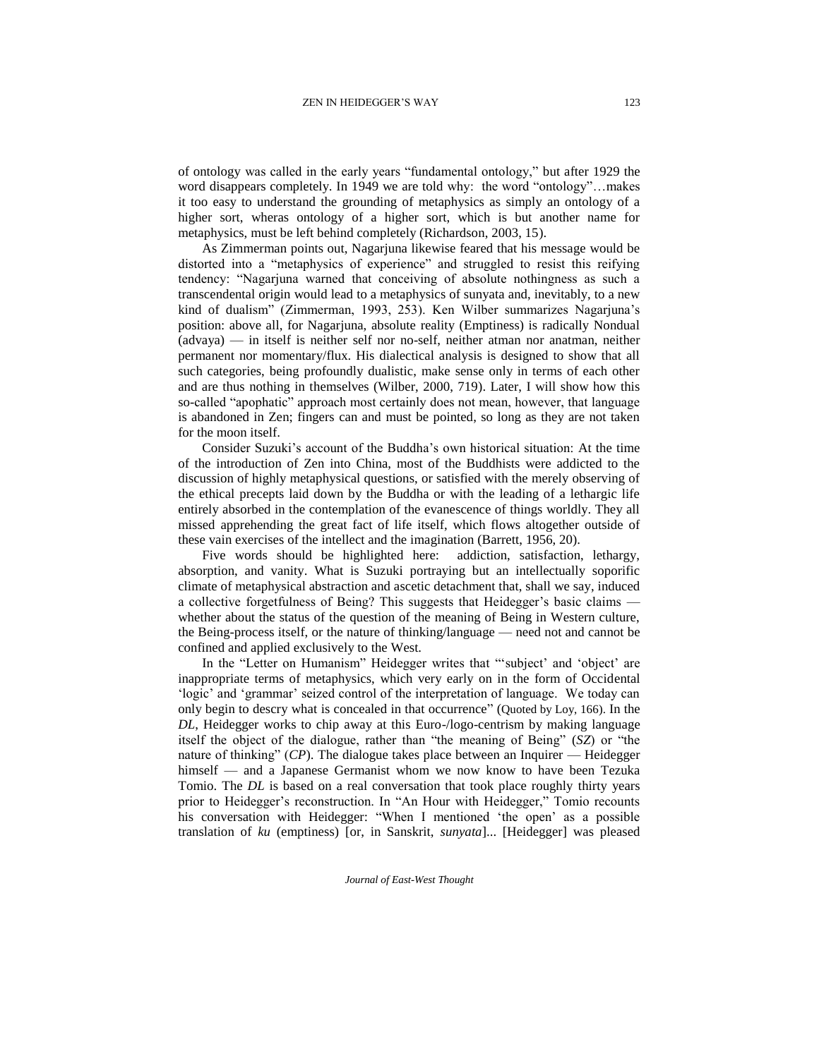of ontology was called in the early years "fundamental ontology," but after 1929 the word disappears completely. In 1949 we are told why: the word "ontology"…makes it too easy to understand the grounding of metaphysics as simply an ontology of a higher sort, wheras ontology of a higher sort, which is but another name for metaphysics, must be left behind completely (Richardson, 2003, 15).

As Zimmerman points out, Nagarjuna likewise feared that his message would be distorted into a "metaphysics of experience" and struggled to resist this reifying tendency: "Nagarjuna warned that conceiving of absolute nothingness as such a transcendental origin would lead to a metaphysics of sunyata and, inevitably, to a new kind of dualism" (Zimmerman, 1993, 253). Ken Wilber summarizes Nagarjuna's position: above all, for Nagarjuna, absolute reality (Emptiness) is radically Nondual (advaya) — in itself is neither self nor no-self, neither atman nor anatman, neither permanent nor momentary/flux. His dialectical analysis is designed to show that all such categories, being profoundly dualistic, make sense only in terms of each other and are thus nothing in themselves (Wilber, 2000, 719). Later, I will show how this so-called "apophatic" approach most certainly does not mean, however, that language is abandoned in Zen; fingers can and must be pointed, so long as they are not taken for the moon itself.

Consider Suzuki's account of the Buddha's own historical situation: At the time of the introduction of Zen into China, most of the Buddhists were addicted to the discussion of highly metaphysical questions, or satisfied with the merely observing of the ethical precepts laid down by the Buddha or with the leading of a lethargic life entirely absorbed in the contemplation of the evanescence of things worldly. They all missed apprehending the great fact of life itself, which flows altogether outside of these vain exercises of the intellect and the imagination (Barrett, 1956, 20).

Five words should be highlighted here: addiction, satisfaction, lethargy, absorption, and vanity. What is Suzuki portraying but an intellectually soporific climate of metaphysical abstraction and ascetic detachment that, shall we say, induced a collective forgetfulness of Being? This suggests that Heidegger's basic claims whether about the status of the question of the meaning of Being in Western culture, the Being-process itself, or the nature of thinking/language — need not and cannot be confined and applied exclusively to the West.

In the "Letter on Humanism" Heidegger writes that "'subject' and 'object' are inappropriate terms of metaphysics, which very early on in the form of Occidental 'logic' and 'grammar' seized control of the interpretation of language. We today can only begin to descry what is concealed in that occurrence" (Quoted by Loy, 166). In the *DL*, Heidegger works to chip away at this Euro-/logo-centrism by making language itself the object of the dialogue, rather than "the meaning of Being" (*SZ*) or "the nature of thinking" (*CP*). The dialogue takes place between an Inquirer — Heidegger himself — and a Japanese Germanist whom we now know to have been Tezuka Tomio. The *DL* is based on a real conversation that took place roughly thirty years prior to Heidegger's reconstruction. In "An Hour with Heidegger," Tomio recounts his conversation with Heidegger: "When I mentioned 'the open' as a possible translation of *ku* (emptiness) [or, in Sanskrit, *sunyata*]... [Heidegger] was pleased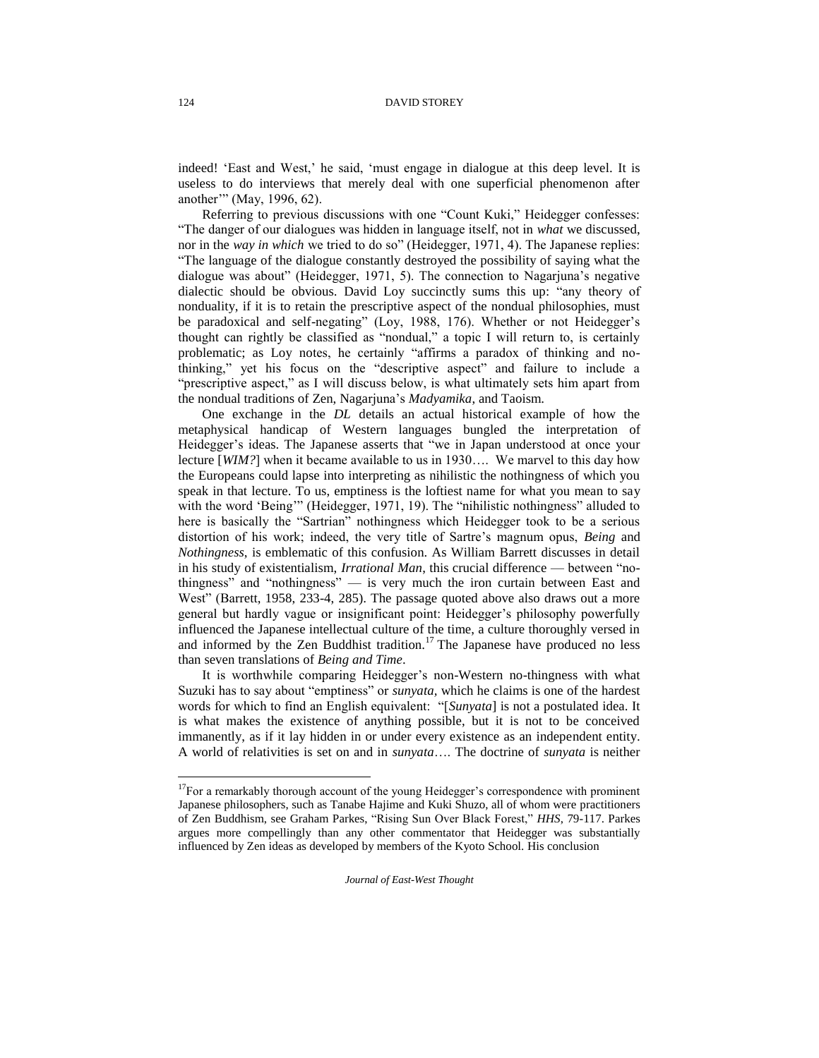indeed! 'East and West,' he said, 'must engage in dialogue at this deep level. It is useless to do interviews that merely deal with one superficial phenomenon after another'" (May, 1996, 62).

Referring to previous discussions with one "Count Kuki," Heidegger confesses: "The danger of our dialogues was hidden in language itself, not in *what* we discussed, nor in the *way in which* we tried to do so" (Heidegger, 1971, 4). The Japanese replies: "The language of the dialogue constantly destroyed the possibility of saying what the dialogue was about" (Heidegger, 1971, 5). The connection to Nagarjuna's negative dialectic should be obvious. David Loy succinctly sums this up: "any theory of nonduality, if it is to retain the prescriptive aspect of the nondual philosophies, must be paradoxical and self-negating" (Loy, 1988, 176). Whether or not Heidegger's thought can rightly be classified as "nondual," a topic I will return to, is certainly problematic; as Loy notes, he certainly "affirms a paradox of thinking and nothinking," yet his focus on the "descriptive aspect" and failure to include a "prescriptive aspect," as I will discuss below, is what ultimately sets him apart from the nondual traditions of Zen, Nagarjuna's *Madyamika*, and Taoism.

One exchange in the *DL* details an actual historical example of how the metaphysical handicap of Western languages bungled the interpretation of Heidegger's ideas. The Japanese asserts that "we in Japan understood at once your lecture [*WIM?*] when it became available to us in 1930…. We marvel to this day how the Europeans could lapse into interpreting as nihilistic the nothingness of which you speak in that lecture. To us, emptiness is the loftiest name for what you mean to say with the word 'Being'" (Heidegger, 1971, 19). The "nihilistic nothingness" alluded to here is basically the "Sartrian" nothingness which Heidegger took to be a serious distortion of his work; indeed, the very title of Sartre's magnum opus, *Being* and *Nothingness*, is emblematic of this confusion. As William Barrett discusses in detail in his study of existentialism, *Irrational Man*, this crucial difference — between "nothingness" and "nothingness" — is very much the iron curtain between East and West" (Barrett, 1958, 233-4, 285). The passage quoted above also draws out a more general but hardly vague or insignificant point: Heidegger's philosophy powerfully influenced the Japanese intellectual culture of the time, a culture thoroughly versed in and informed by the Zen Buddhist tradition.<sup>17</sup> The Japanese have produced no less than seven translations of *Being and Time*.

It is worthwhile comparing Heidegger's non-Western no-thingness with what Suzuki has to say about "emptiness" or *sunyata,* which he claims is one of the hardest words for which to find an English equivalent: "[*Sunyata*] is not a postulated idea. It is what makes the existence of anything possible, but it is not to be conceived immanently, as if it lay hidden in or under every existence as an independent entity. A world of relativities is set on and in *sunyata*…. The doctrine of *sunyata* is neither

*Journal of East-West Thought* 

l

<sup>&</sup>lt;sup>17</sup>For a remarkably thorough account of the young Heidegger's correspondence with prominent Japanese philosophers, such as Tanabe Hajime and Kuki Shuzo, all of whom were practitioners of Zen Buddhism, see Graham Parkes, "Rising Sun Over Black Forest," *HHS*, 79-117. Parkes argues more compellingly than any other commentator that Heidegger was substantially influenced by Zen ideas as developed by members of the Kyoto School. His conclusion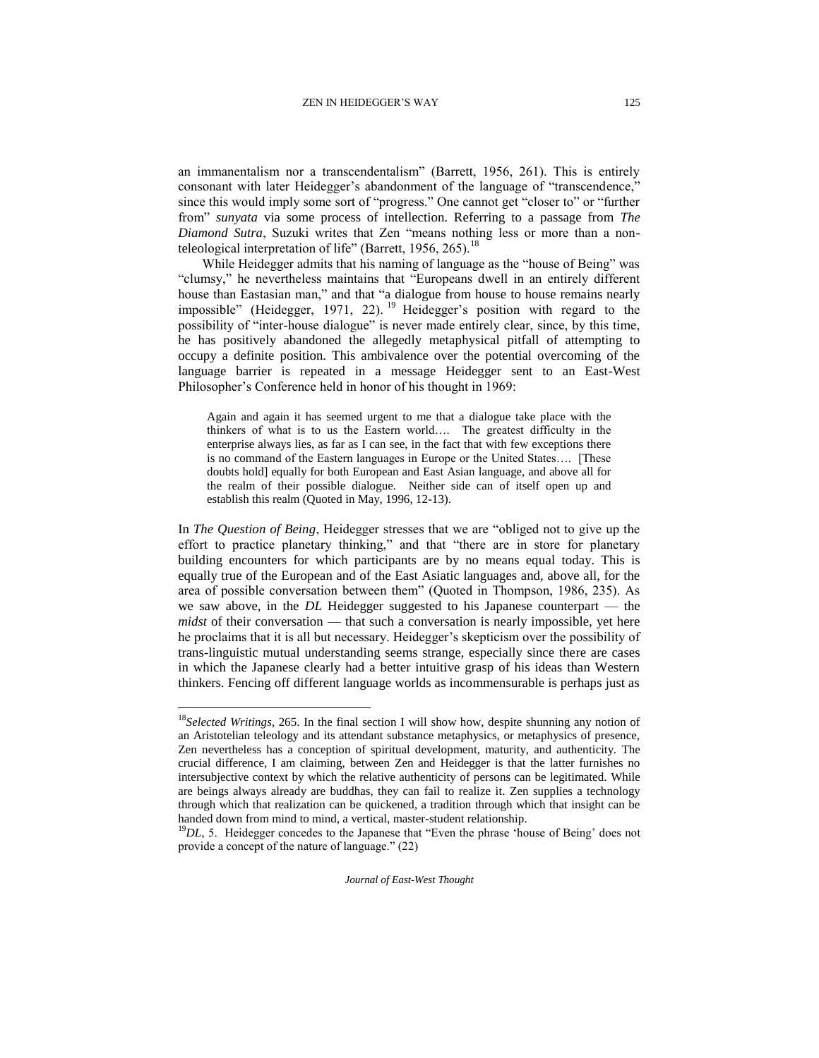an immanentalism nor a transcendentalism" (Barrett, 1956, 261). This is entirely consonant with later Heidegger's abandonment of the language of "transcendence," since this would imply some sort of "progress." One cannot get "closer to" or "further from" *sunyata* via some process of intellection. Referring to a passage from *The Diamond Sutra*, Suzuki writes that Zen "means nothing less or more than a nonteleological interpretation of life" (Barrett, 1956, 265).<sup>18</sup>

While Heidegger admits that his naming of language as the "house of Being" was "clumsy," he nevertheless maintains that "Europeans dwell in an entirely different house than Eastasian man," and that "a dialogue from house to house remains nearly impossible" (Heidegger, 1971, 22).<sup>19</sup> Heidegger's position with regard to the possibility of "inter-house dialogue" is never made entirely clear, since, by this time, he has positively abandoned the allegedly metaphysical pitfall of attempting to occupy a definite position. This ambivalence over the potential overcoming of the language barrier is repeated in a message Heidegger sent to an East-West Philosopher's Conference held in honor of his thought in 1969:

Again and again it has seemed urgent to me that a dialogue take place with the thinkers of what is to us the Eastern world…. The greatest difficulty in the enterprise always lies, as far as I can see, in the fact that with few exceptions there is no command of the Eastern languages in Europe or the United States…. [These doubts hold] equally for both European and East Asian language, and above all for the realm of their possible dialogue. Neither side can of itself open up and establish this realm (Quoted in May, 1996, 12-13).

In *The Question of Being*, Heidegger stresses that we are "obliged not to give up the effort to practice planetary thinking," and that "there are in store for planetary building encounters for which participants are by no means equal today. This is equally true of the European and of the East Asiatic languages and, above all, for the area of possible conversation between them" (Quoted in Thompson, 1986, 235). As we saw above, in the *DL* Heidegger suggested to his Japanese counterpart — the *midst* of their conversation — that such a conversation is nearly impossible, yet here he proclaims that it is all but necessary. Heidegger's skepticism over the possibility of trans-linguistic mutual understanding seems strange, especially since there are cases in which the Japanese clearly had a better intuitive grasp of his ideas than Western thinkers. Fencing off different language worlds as incommensurable is perhaps just as

l

<sup>18</sup>*Selected Writings*, 265. In the final section I will show how, despite shunning any notion of an Aristotelian teleology and its attendant substance metaphysics, or metaphysics of presence, Zen nevertheless has a conception of spiritual development, maturity, and authenticity. The crucial difference, I am claiming, between Zen and Heidegger is that the latter furnishes no intersubjective context by which the relative authenticity of persons can be legitimated. While are beings always already are buddhas, they can fail to realize it. Zen supplies a technology through which that realization can be quickened, a tradition through which that insight can be handed down from mind to mind, a vertical, master-student relationship.

<sup>&</sup>lt;sup>19</sup>DL, 5. Heidegger concedes to the Japanese that "Even the phrase 'house of Being' does not provide a concept of the nature of language." (22)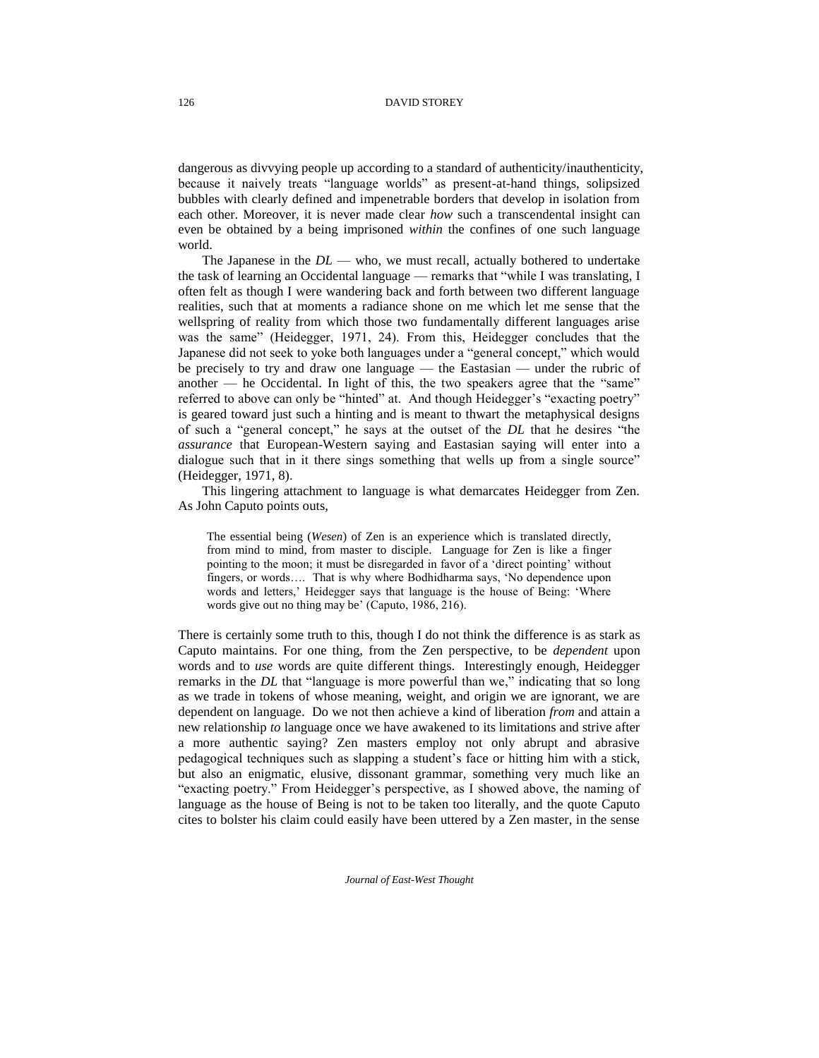dangerous as divvying people up according to a standard of authenticity/inauthenticity, because it naively treats "language worlds" as present-at-hand things, solipsized bubbles with clearly defined and impenetrable borders that develop in isolation from each other. Moreover, it is never made clear *how* such a transcendental insight can even be obtained by a being imprisoned *within* the confines of one such language world.

The Japanese in the *DL* — who, we must recall, actually bothered to undertake the task of learning an Occidental language — remarks that "while I was translating, I often felt as though I were wandering back and forth between two different language realities, such that at moments a radiance shone on me which let me sense that the wellspring of reality from which those two fundamentally different languages arise was the same" (Heidegger, 1971, 24). From this, Heidegger concludes that the Japanese did not seek to yoke both languages under a "general concept," which would be precisely to try and draw one language — the Eastasian — under the rubric of another  $-$  he Occidental. In light of this, the two speakers agree that the "same" referred to above can only be "hinted" at. And though Heidegger's "exacting poetry" is geared toward just such a hinting and is meant to thwart the metaphysical designs of such a "general concept," he says at the outset of the *DL* that he desires "the *assurance* that European-Western saying and Eastasian saying will enter into a dialogue such that in it there sings something that wells up from a single source" (Heidegger, 1971, 8).

This lingering attachment to language is what demarcates Heidegger from Zen. As John Caputo points outs,

The essential being (*Wesen*) of Zen is an experience which is translated directly, from mind to mind, from master to disciple. Language for Zen is like a finger pointing to the moon; it must be disregarded in favor of a 'direct pointing' without fingers, or words…. That is why where Bodhidharma says, 'No dependence upon words and letters,' Heidegger says that language is the house of Being: 'Where words give out no thing may be' (Caputo, 1986, 216).

There is certainly some truth to this, though I do not think the difference is as stark as Caputo maintains. For one thing, from the Zen perspective, to be *dependent* upon words and to *use* words are quite different things. Interestingly enough, Heidegger remarks in the *DL* that "language is more powerful than we," indicating that so long as we trade in tokens of whose meaning, weight, and origin we are ignorant, we are dependent on language. Do we not then achieve a kind of liberation *from* and attain a new relationship *to* language once we have awakened to its limitations and strive after a more authentic saying? Zen masters employ not only abrupt and abrasive pedagogical techniques such as slapping a student's face or hitting him with a stick, but also an enigmatic, elusive, dissonant grammar, something very much like an "exacting poetry." From Heidegger's perspective, as I showed above, the naming of language as the house of Being is not to be taken too literally, and the quote Caputo cites to bolster his claim could easily have been uttered by a Zen master, in the sense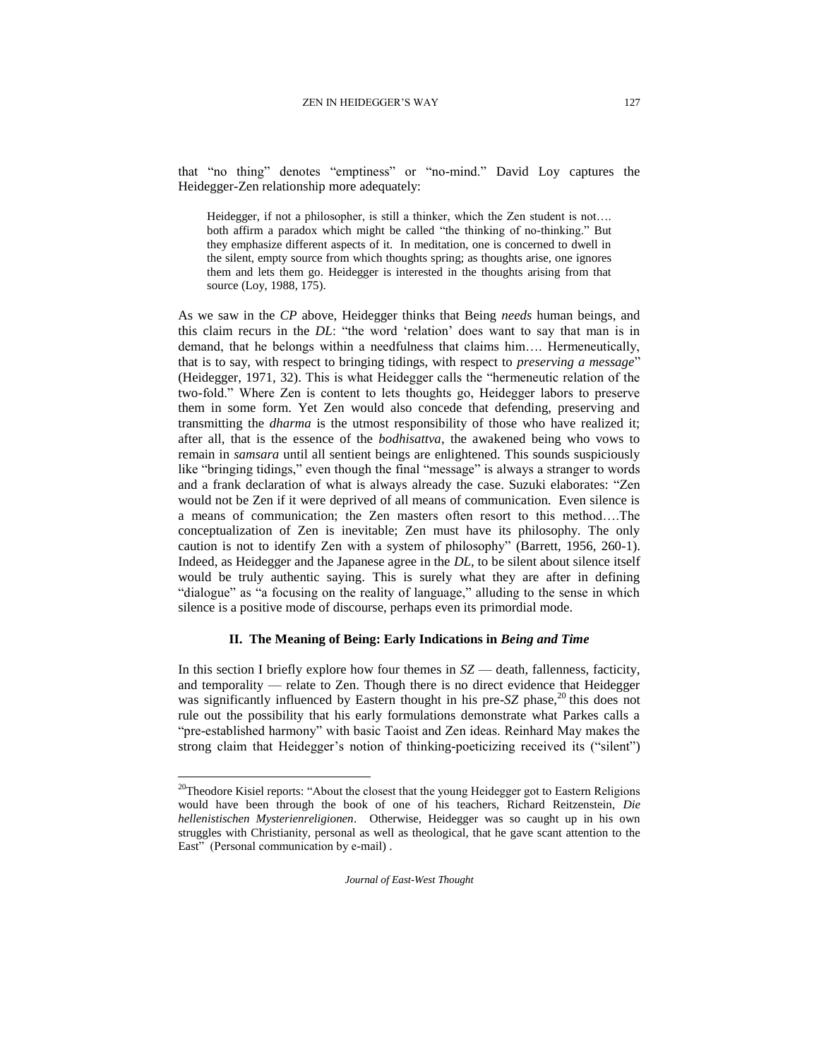that "no thing" denotes "emptiness" or "no-mind." David Loy captures the Heidegger-Zen relationship more adequately:

Heidegger, if not a philosopher, is still a thinker, which the Zen student is not…. both affirm a paradox which might be called "the thinking of no-thinking." But they emphasize different aspects of it. In meditation, one is concerned to dwell in the silent, empty source from which thoughts spring; as thoughts arise, one ignores them and lets them go. Heidegger is interested in the thoughts arising from that source (Loy, 1988, 175).

As we saw in the *CP* above, Heidegger thinks that Being *needs* human beings, and this claim recurs in the *DL*: "the word 'relation' does want to say that man is in demand, that he belongs within a needfulness that claims him…. Hermeneutically, that is to say, with respect to bringing tidings, with respect to *preserving a message*" (Heidegger, 1971, 32). This is what Heidegger calls the "hermeneutic relation of the two-fold." Where Zen is content to lets thoughts go, Heidegger labors to preserve them in some form. Yet Zen would also concede that defending, preserving and transmitting the *dharma* is the utmost responsibility of those who have realized it; after all, that is the essence of the *bodhisattva*, the awakened being who vows to remain in *samsara* until all sentient beings are enlightened. This sounds suspiciously like "bringing tidings," even though the final "message" is always a stranger to words and a frank declaration of what is always already the case. Suzuki elaborates: "Zen would not be Zen if it were deprived of all means of communication. Even silence is a means of communication; the Zen masters often resort to this method….The conceptualization of Zen is inevitable; Zen must have its philosophy. The only caution is not to identify Zen with a system of philosophy" (Barrett, 1956, 260-1). Indeed, as Heidegger and the Japanese agree in the *DL*, to be silent about silence itself would be truly authentic saying. This is surely what they are after in defining "dialogue" as "a focusing on the reality of language," alluding to the sense in which silence is a positive mode of discourse, perhaps even its primordial mode.

# **II. The Meaning of Being: Early Indications in** *Being and Time*

In this section I briefly explore how four themes in *SZ* — death, fallenness, facticity, and temporality — relate to Zen. Though there is no direct evidence that Heidegger was significantly influenced by Eastern thought in his pre-*SZ* phase,<sup>20</sup> this does not rule out the possibility that his early formulations demonstrate what Parkes calls a "pre-established harmony" with basic Taoist and Zen ideas. Reinhard May makes the strong claim that Heidegger's notion of thinking-poeticizing received its ("silent")

l

<sup>&</sup>lt;sup>20</sup>Theodore Kisiel reports: "About the closest that the young Heidegger got to Eastern Religions would have been through the book of one of his teachers, Richard Reitzenstein, *Die hellenistischen Mysterienreligionen*. Otherwise, Heidegger was so caught up in his own struggles with Christianity, personal as well as theological, that he gave scant attention to the East" (Personal communication by e-mail).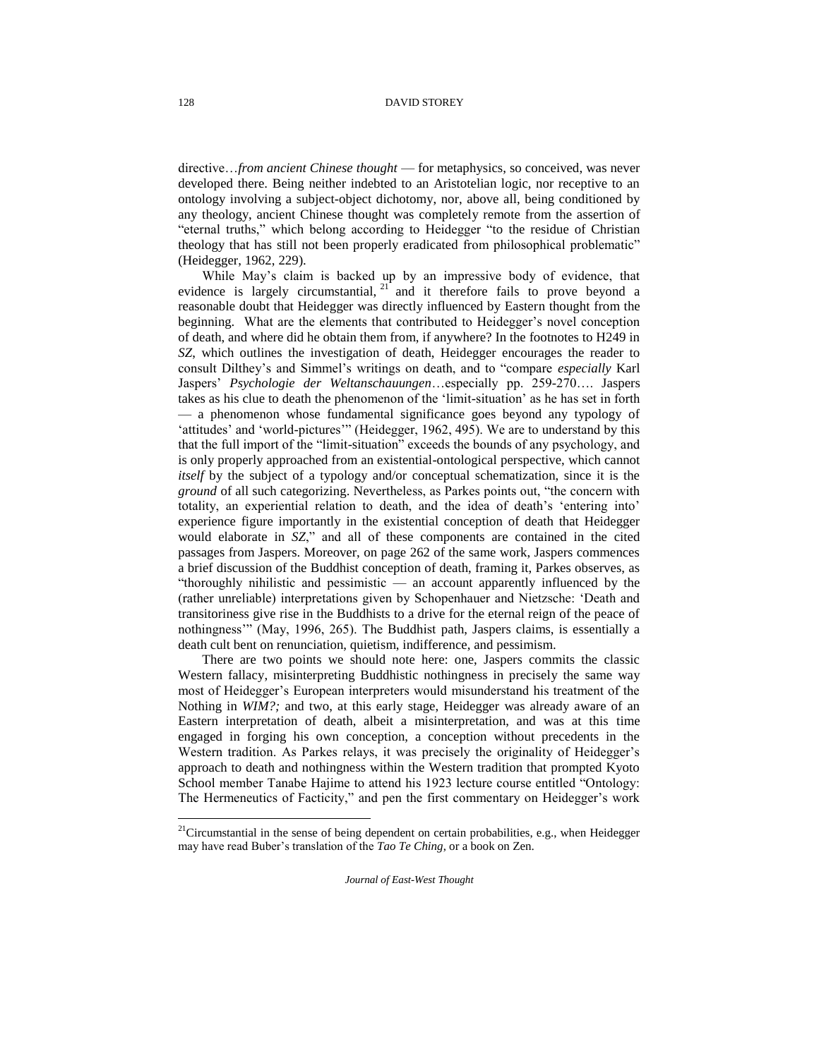directive…*from ancient Chinese thought* — for metaphysics, so conceived, was never developed there. Being neither indebted to an Aristotelian logic, nor receptive to an ontology involving a subject-object dichotomy, nor, above all, being conditioned by any theology, ancient Chinese thought was completely remote from the assertion of "eternal truths," which belong according to Heidegger "to the residue of Christian theology that has still not been properly eradicated from philosophical problematic" (Heidegger, 1962, 229).

While May's claim is backed up by an impressive body of evidence, that evidence is largely circumstantial,  $2^1$  and it therefore fails to prove beyond a reasonable doubt that Heidegger was directly influenced by Eastern thought from the beginning. What are the elements that contributed to Heidegger's novel conception of death, and where did he obtain them from, if anywhere? In the footnotes to H249 in *SZ*, which outlines the investigation of death, Heidegger encourages the reader to consult Dilthey's and Simmel's writings on death, and to "compare *especially* Karl Jaspers' *Psychologie der Weltanschauungen*…especially pp. 259-270…. Jaspers takes as his clue to death the phenomenon of the 'limit-situation' as he has set in forth — a phenomenon whose fundamental significance goes beyond any typology of 'attitudes' and 'world-pictures'" (Heidegger, 1962, 495). We are to understand by this that the full import of the "limit-situation" exceeds the bounds of any psychology, and is only properly approached from an existential-ontological perspective, which cannot *itself* by the subject of a typology and/or conceptual schematization, since it is the *ground* of all such categorizing. Nevertheless, as Parkes points out, "the concern with totality, an experiential relation to death, and the idea of death's 'entering into' experience figure importantly in the existential conception of death that Heidegger would elaborate in *SZ*," and all of these components are contained in the cited passages from Jaspers. Moreover, on page 262 of the same work, Jaspers commences a brief discussion of the Buddhist conception of death, framing it, Parkes observes, as "thoroughly nihilistic and pessimistic — an account apparently influenced by the (rather unreliable) interpretations given by Schopenhauer and Nietzsche: 'Death and transitoriness give rise in the Buddhists to a drive for the eternal reign of the peace of nothingness'" (May, 1996, 265). The Buddhist path, Jaspers claims, is essentially a death cult bent on renunciation, quietism, indifference, and pessimism.

There are two points we should note here: one, Jaspers commits the classic Western fallacy, misinterpreting Buddhistic nothingness in precisely the same way most of Heidegger's European interpreters would misunderstand his treatment of the Nothing in *WIM?;* and two, at this early stage, Heidegger was already aware of an Eastern interpretation of death, albeit a misinterpretation, and was at this time engaged in forging his own conception, a conception without precedents in the Western tradition. As Parkes relays, it was precisely the originality of Heidegger's approach to death and nothingness within the Western tradition that prompted Kyoto School member Tanabe Hajime to attend his 1923 lecture course entitled "Ontology: The Hermeneutics of Facticity," and pen the first commentary on Heidegger's work

l

<sup>&</sup>lt;sup>21</sup>Circumstantial in the sense of being dependent on certain probabilities, e.g., when Heidegger may have read Buber's translation of the *Tao Te Ching*, or a book on Zen.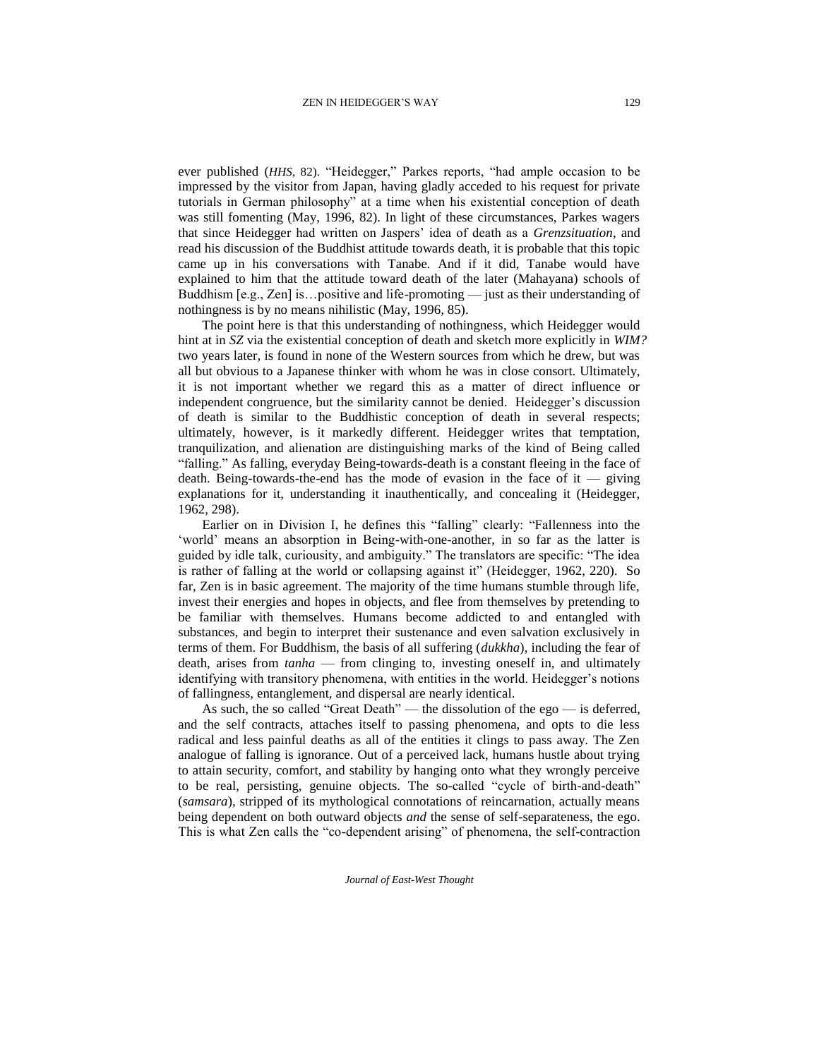ever published (*HHS*, 82). "Heidegger," Parkes reports, "had ample occasion to be impressed by the visitor from Japan, having gladly acceded to his request for private tutorials in German philosophy" at a time when his existential conception of death was still fomenting (May, 1996, 82). In light of these circumstances, Parkes wagers that since Heidegger had written on Jaspers' idea of death as a *Grenzsituation*, and read his discussion of the Buddhist attitude towards death, it is probable that this topic came up in his conversations with Tanabe. And if it did, Tanabe would have explained to him that the attitude toward death of the later (Mahayana) schools of Buddhism [e.g., Zen] is…positive and life-promoting — just as their understanding of nothingness is by no means nihilistic (May, 1996, 85).

The point here is that this understanding of nothingness, which Heidegger would hint at in *SZ* via the existential conception of death and sketch more explicitly in *WIM?*  two years later*,* is found in none of the Western sources from which he drew, but was all but obvious to a Japanese thinker with whom he was in close consort. Ultimately, it is not important whether we regard this as a matter of direct influence or independent congruence, but the similarity cannot be denied. Heidegger's discussion of death is similar to the Buddhistic conception of death in several respects; ultimately, however, is it markedly different. Heidegger writes that temptation, tranquilization, and alienation are distinguishing marks of the kind of Being called "falling." As falling, everyday Being-towards-death is a constant fleeing in the face of death. Being-towards-the-end has the mode of evasion in the face of it — giving explanations for it, understanding it inauthentically, and concealing it (Heidegger, 1962, 298).

Earlier on in Division I, he defines this "falling" clearly: "Fallenness into the 'world' means an absorption in Being-with-one-another, in so far as the latter is guided by idle talk, curiousity, and ambiguity." The translators are specific: "The idea is rather of falling at the world or collapsing against it" (Heidegger, 1962, 220). So far, Zen is in basic agreement. The majority of the time humans stumble through life, invest their energies and hopes in objects, and flee from themselves by pretending to be familiar with themselves. Humans become addicted to and entangled with substances, and begin to interpret their sustenance and even salvation exclusively in terms of them. For Buddhism, the basis of all suffering (*dukkha*), including the fear of death, arises from *tanha* — from clinging to, investing oneself in, and ultimately identifying with transitory phenomena, with entities in the world. Heidegger's notions of fallingness, entanglement, and dispersal are nearly identical.

As such, the so called "Great Death" — the dissolution of the ego — is deferred, and the self contracts, attaches itself to passing phenomena, and opts to die less radical and less painful deaths as all of the entities it clings to pass away. The Zen analogue of falling is ignorance. Out of a perceived lack, humans hustle about trying to attain security, comfort, and stability by hanging onto what they wrongly perceive to be real, persisting, genuine objects. The so-called "cycle of birth-and-death" (*samsara*), stripped of its mythological connotations of reincarnation, actually means being dependent on both outward objects *and* the sense of self-separateness, the ego. This is what Zen calls the "co-dependent arising" of phenomena, the self-contraction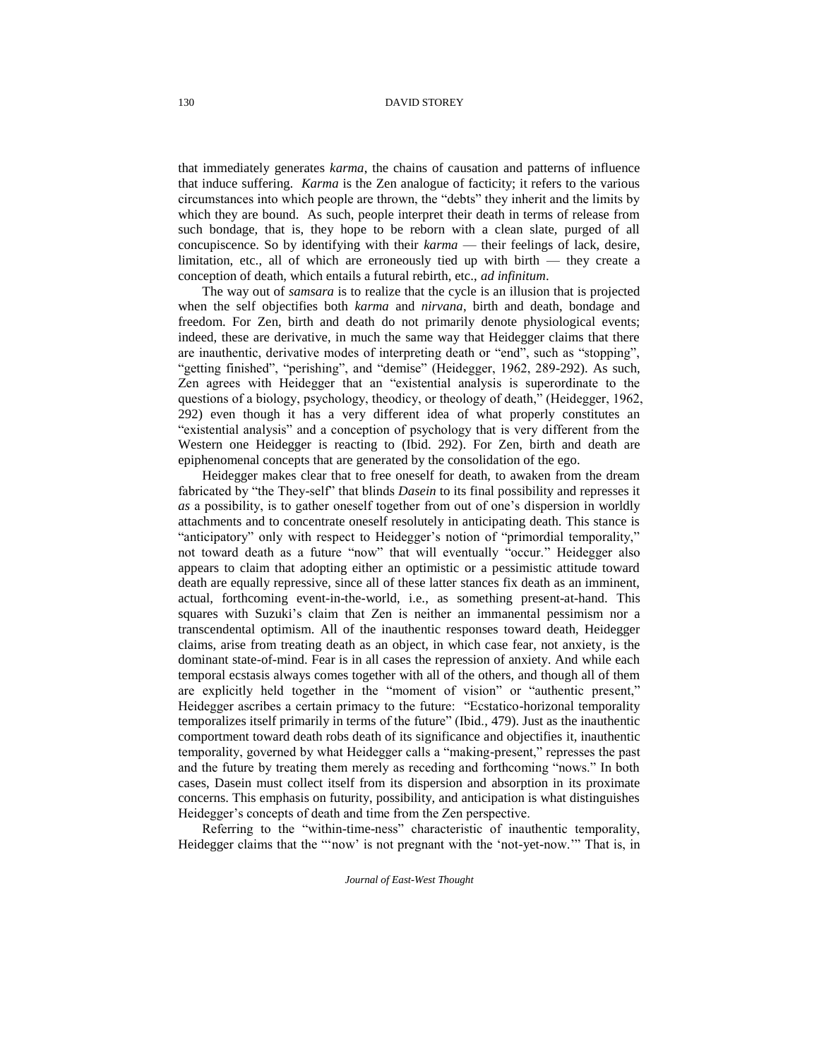that immediately generates *karma*, the chains of causation and patterns of influence that induce suffering. *Karma* is the Zen analogue of facticity; it refers to the various circumstances into which people are thrown, the "debts" they inherit and the limits by which they are bound. As such, people interpret their death in terms of release from such bondage, that is, they hope to be reborn with a clean slate, purged of all concupiscence. So by identifying with their *karma* — their feelings of lack, desire, limitation, etc., all of which are erroneously tied up with birth — they create a conception of death, which entails a futural rebirth, etc., *ad infinitum*.

The way out of *samsara* is to realize that the cycle is an illusion that is projected when the self objectifies both *karma* and *nirvana*, birth and death, bondage and freedom. For Zen, birth and death do not primarily denote physiological events; indeed, these are derivative, in much the same way that Heidegger claims that there are inauthentic, derivative modes of interpreting death or "end", such as "stopping", "getting finished", "perishing", and "demise" (Heidegger, 1962, 289-292). As such, Zen agrees with Heidegger that an "existential analysis is superordinate to the questions of a biology, psychology, theodicy, or theology of death," (Heidegger, 1962, 292) even though it has a very different idea of what properly constitutes an "existential analysis" and a conception of psychology that is very different from the Western one Heidegger is reacting to (Ibid. 292). For Zen, birth and death are epiphenomenal concepts that are generated by the consolidation of the ego.

Heidegger makes clear that to free oneself for death, to awaken from the dream fabricated by "the They-self" that blinds *Dasein* to its final possibility and represses it *as* a possibility, is to gather oneself together from out of one's dispersion in worldly attachments and to concentrate oneself resolutely in anticipating death. This stance is "anticipatory" only with respect to Heidegger's notion of "primordial temporality," not toward death as a future "now" that will eventually "occur." Heidegger also appears to claim that adopting either an optimistic or a pessimistic attitude toward death are equally repressive, since all of these latter stances fix death as an imminent, actual, forthcoming event-in-the-world, i.e., as something present-at-hand. This squares with Suzuki's claim that Zen is neither an immanental pessimism nor a transcendental optimism. All of the inauthentic responses toward death, Heidegger claims, arise from treating death as an object, in which case fear, not anxiety, is the dominant state-of-mind. Fear is in all cases the repression of anxiety. And while each temporal ecstasis always comes together with all of the others, and though all of them are explicitly held together in the "moment of vision" or "authentic present," Heidegger ascribes a certain primacy to the future: "Ecstatico-horizonal temporality temporalizes itself primarily in terms of the future" (Ibid., 479). Just as the inauthentic comportment toward death robs death of its significance and objectifies it, inauthentic temporality, governed by what Heidegger calls a "making-present," represses the past and the future by treating them merely as receding and forthcoming "nows." In both cases, Dasein must collect itself from its dispersion and absorption in its proximate concerns. This emphasis on futurity, possibility, and anticipation is what distinguishes Heidegger's concepts of death and time from the Zen perspective.

Referring to the "within-time-ness" characteristic of inauthentic temporality, Heidegger claims that the "'now' is not pregnant with the 'not-yet-now.'" That is, in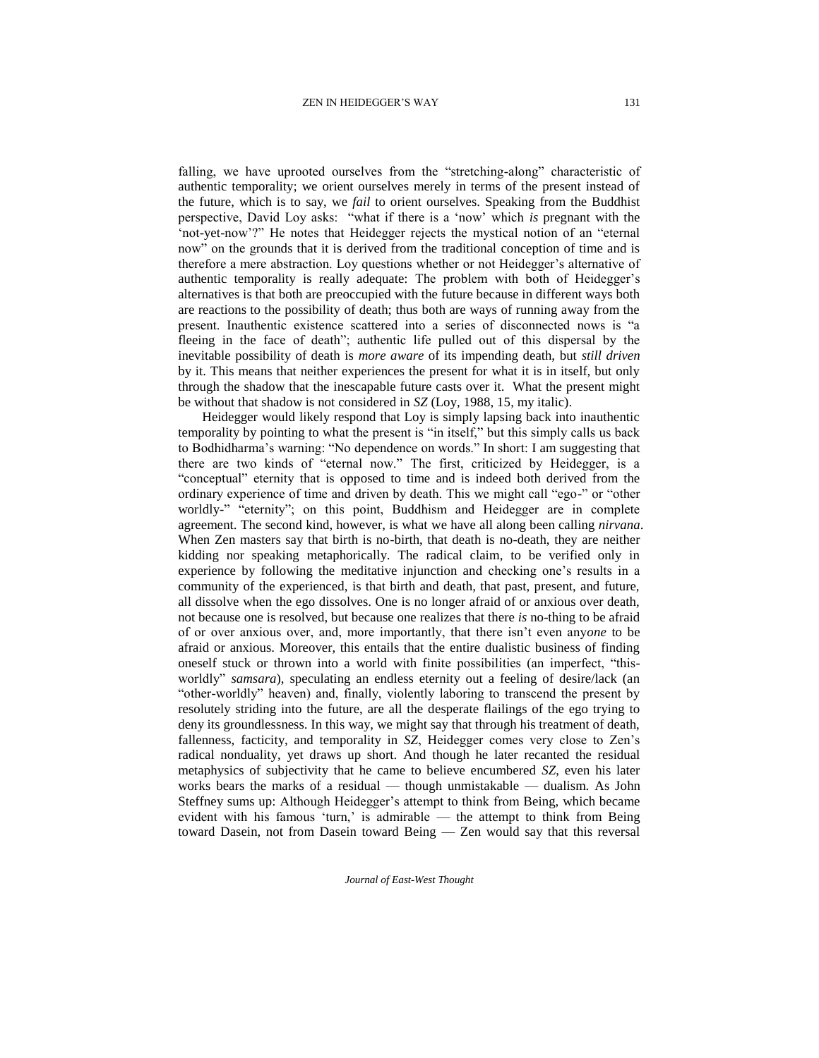falling, we have uprooted ourselves from the "stretching-along" characteristic of authentic temporality; we orient ourselves merely in terms of the present instead of the future, which is to say, we *fail* to orient ourselves. Speaking from the Buddhist perspective, David Loy asks: "what if there is a 'now' which *is* pregnant with the 'not-yet-now'?" He notes that Heidegger rejects the mystical notion of an "eternal now" on the grounds that it is derived from the traditional conception of time and is therefore a mere abstraction. Loy questions whether or not Heidegger's alternative of authentic temporality is really adequate: The problem with both of Heidegger's alternatives is that both are preoccupied with the future because in different ways both are reactions to the possibility of death; thus both are ways of running away from the present. Inauthentic existence scattered into a series of disconnected nows is "a fleeing in the face of death"; authentic life pulled out of this dispersal by the inevitable possibility of death is *more aware* of its impending death, but *still driven* by it. This means that neither experiences the present for what it is in itself, but only through the shadow that the inescapable future casts over it. What the present might be without that shadow is not considered in *SZ* (Loy, 1988, 15, my italic).

Heidegger would likely respond that Loy is simply lapsing back into inauthentic temporality by pointing to what the present is "in itself," but this simply calls us back to Bodhidharma's warning: "No dependence on words." In short: I am suggesting that there are two kinds of "eternal now." The first, criticized by Heidegger, is a "conceptual" eternity that is opposed to time and is indeed both derived from the ordinary experience of time and driven by death. This we might call "ego-" or "other worldly-" "eternity"; on this point, Buddhism and Heidegger are in complete agreement. The second kind, however, is what we have all along been calling *nirvana*. When Zen masters say that birth is no-birth, that death is no-death, they are neither kidding nor speaking metaphorically. The radical claim, to be verified only in experience by following the meditative injunction and checking one's results in a community of the experienced, is that birth and death, that past, present, and future, all dissolve when the ego dissolves. One is no longer afraid of or anxious over death, not because one is resolved, but because one realizes that there *is* no-thing to be afraid of or over anxious over, and, more importantly, that there isn't even any*one* to be afraid or anxious. Moreover, this entails that the entire dualistic business of finding oneself stuck or thrown into a world with finite possibilities (an imperfect, "thisworldly" *samsara*), speculating an endless eternity out a feeling of desire/lack (an "other-worldly" heaven) and, finally, violently laboring to transcend the present by resolutely striding into the future, are all the desperate flailings of the ego trying to deny its groundlessness. In this way, we might say that through his treatment of death, fallenness, facticity, and temporality in *SZ*, Heidegger comes very close to Zen's radical nonduality, yet draws up short. And though he later recanted the residual metaphysics of subjectivity that he came to believe encumbered *SZ*, even his later works bears the marks of a residual — though unmistakable — dualism. As John Steffney sums up: Although Heidegger's attempt to think from Being, which became evident with his famous 'turn,' is admirable — the attempt to think from Being toward Dasein, not from Dasein toward Being — Zen would say that this reversal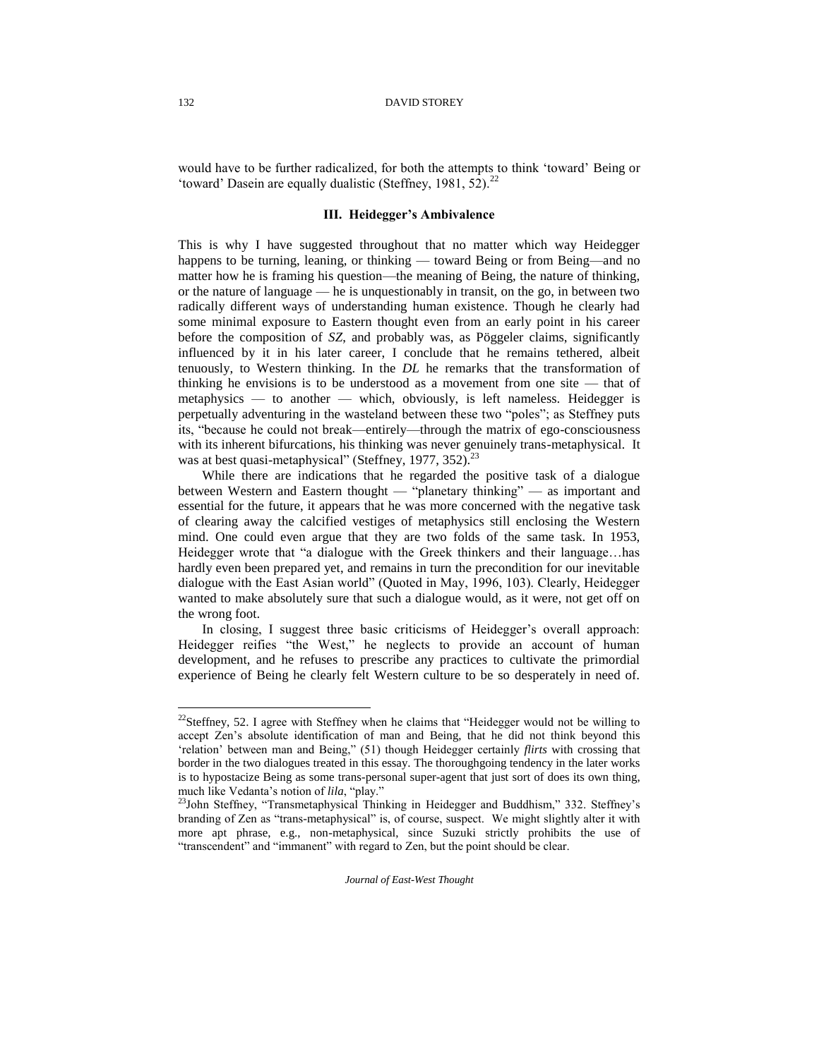would have to be further radicalized, for both the attempts to think 'toward' Being or 'toward' Dasein are equally dualistic (Steffney, 1981,  $52$ ).<sup>22</sup>

## **III. Heidegger's Ambivalence**

This is why I have suggested throughout that no matter which way Heidegger happens to be turning, leaning, or thinking — toward Being or from Being—and no matter how he is framing his question—the meaning of Being, the nature of thinking, or the nature of language — he is unquestionably in transit, on the go, in between two radically different ways of understanding human existence. Though he clearly had some minimal exposure to Eastern thought even from an early point in his career before the composition of *SZ*, and probably was, as Pöggeler claims, significantly influenced by it in his later career, I conclude that he remains tethered, albeit tenuously, to Western thinking. In the *DL* he remarks that the transformation of thinking he envisions is to be understood as a movement from one site — that of metaphysics — to another — which, obviously, is left nameless. Heidegger is perpetually adventuring in the wasteland between these two "poles"; as Steffney puts its, "because he could not break—entirely—through the matrix of ego-consciousness with its inherent bifurcations, his thinking was never genuinely trans-metaphysical. It was at best quasi-metaphysical" (Steffney, 1977, 352). $^{23}$ 

While there are indications that he regarded the positive task of a dialogue between Western and Eastern thought — "planetary thinking" — as important and essential for the future, it appears that he was more concerned with the negative task of clearing away the calcified vestiges of metaphysics still enclosing the Western mind. One could even argue that they are two folds of the same task. In 1953, Heidegger wrote that "a dialogue with the Greek thinkers and their language…has hardly even been prepared yet, and remains in turn the precondition for our inevitable dialogue with the East Asian world" (Quoted in May, 1996, 103). Clearly, Heidegger wanted to make absolutely sure that such a dialogue would, as it were, not get off on the wrong foot.

In closing, I suggest three basic criticisms of Heidegger's overall approach: Heidegger reifies "the West," he neglects to provide an account of human development, and he refuses to prescribe any practices to cultivate the primordial experience of Being he clearly felt Western culture to be so desperately in need of.

*Journal of East-West Thought* 

l

 $22$ Steffney, 52. I agree with Steffney when he claims that "Heidegger would not be willing to accept Zen's absolute identification of man and Being, that he did not think beyond this 'relation' between man and Being," (51) though Heidegger certainly *flirts* with crossing that border in the two dialogues treated in this essay. The thoroughgoing tendency in the later works is to hypostacize Being as some trans-personal super-agent that just sort of does its own thing, much like Vedanta's notion of *lila*, "play."

<sup>&</sup>lt;sup>23</sup>John Steffney, "Transmetaphysical Thinking in Heidegger and Buddhism," 332. Steffney's branding of Zen as "trans-metaphysical" is, of course, suspect. We might slightly alter it with more apt phrase, e.g., non-metaphysical, since Suzuki strictly prohibits the use of "transcendent" and "immanent" with regard to Zen, but the point should be clear.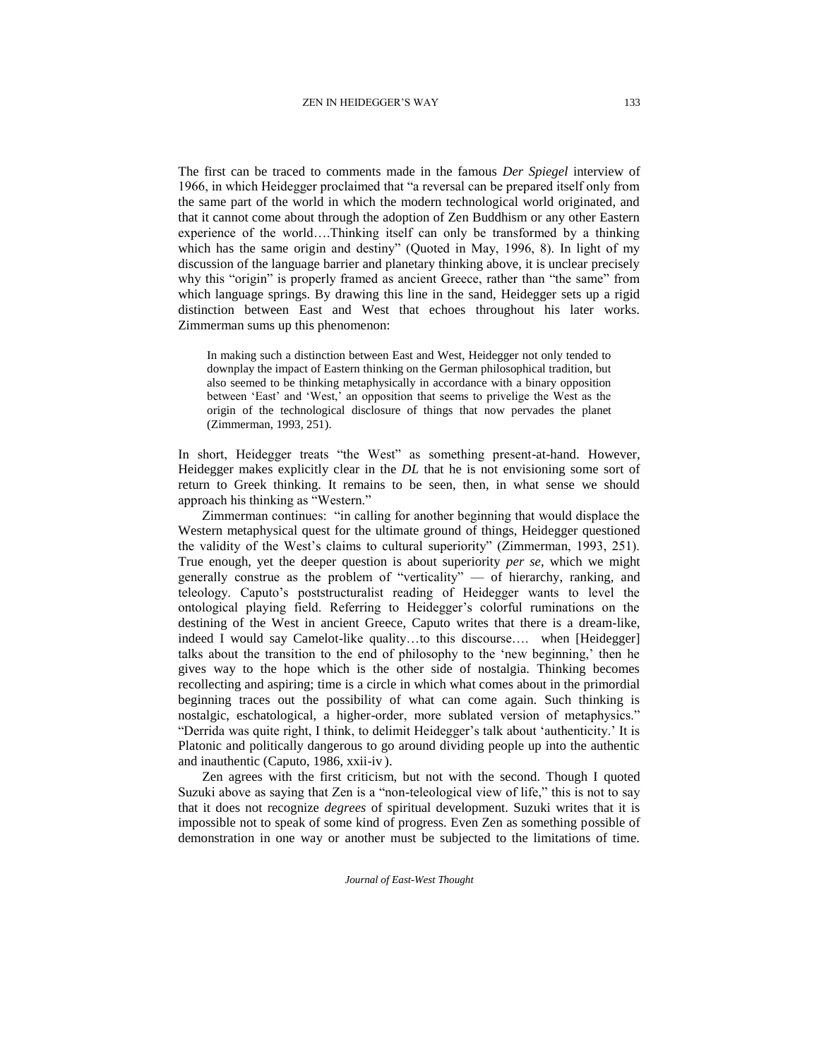The first can be traced to comments made in the famous *Der Spiegel* interview of 1966, in which Heidegger proclaimed that "a reversal can be prepared itself only from the same part of the world in which the modern technological world originated, and that it cannot come about through the adoption of Zen Buddhism or any other Eastern experience of the world….Thinking itself can only be transformed by a thinking which has the same origin and destiny" (Quoted in May, 1996, 8). In light of my discussion of the language barrier and planetary thinking above, it is unclear precisely why this "origin" is properly framed as ancient Greece, rather than "the same" from which language springs. By drawing this line in the sand, Heidegger sets up a rigid distinction between East and West that echoes throughout his later works. Zimmerman sums up this phenomenon:

In making such a distinction between East and West, Heidegger not only tended to downplay the impact of Eastern thinking on the German philosophical tradition, but also seemed to be thinking metaphysically in accordance with a binary opposition between 'East' and 'West,' an opposition that seems to privelige the West as the origin of the technological disclosure of things that now pervades the planet (Zimmerman, 1993, 251).

In short, Heidegger treats "the West" as something present-at-hand. However, Heidegger makes explicitly clear in the *DL* that he is not envisioning some sort of return to Greek thinking. It remains to be seen, then, in what sense we should approach his thinking as "Western."

Zimmerman continues: "in calling for another beginning that would displace the Western metaphysical quest for the ultimate ground of things, Heidegger questioned the validity of the West's claims to cultural superiority" (Zimmerman, 1993, 251). True enough, yet the deeper question is about superiority *per se*, which we might generally construe as the problem of "verticality" — of hierarchy, ranking, and teleology. Caputo's poststructuralist reading of Heidegger wants to level the ontological playing field. Referring to Heidegger's colorful ruminations on the destining of the West in ancient Greece, Caputo writes that there is a dream-like, indeed I would say Camelot-like quality…to this discourse…. when [Heidegger] talks about the transition to the end of philosophy to the 'new beginning,' then he gives way to the hope which is the other side of nostalgia. Thinking becomes recollecting and aspiring; time is a circle in which what comes about in the primordial beginning traces out the possibility of what can come again. Such thinking is nostalgic, eschatological, a higher-order, more sublated version of metaphysics." "Derrida was quite right, I think, to delimit Heidegger's talk about 'authenticity.' It is Platonic and politically dangerous to go around dividing people up into the authentic and inauthentic (Caputo, 1986, xxii-iv ).

Zen agrees with the first criticism, but not with the second. Though I quoted Suzuki above as saying that Zen is a "non-teleological view of life," this is not to say that it does not recognize *degrees* of spiritual development. Suzuki writes that it is impossible not to speak of some kind of progress. Even Zen as something possible of demonstration in one way or another must be subjected to the limitations of time.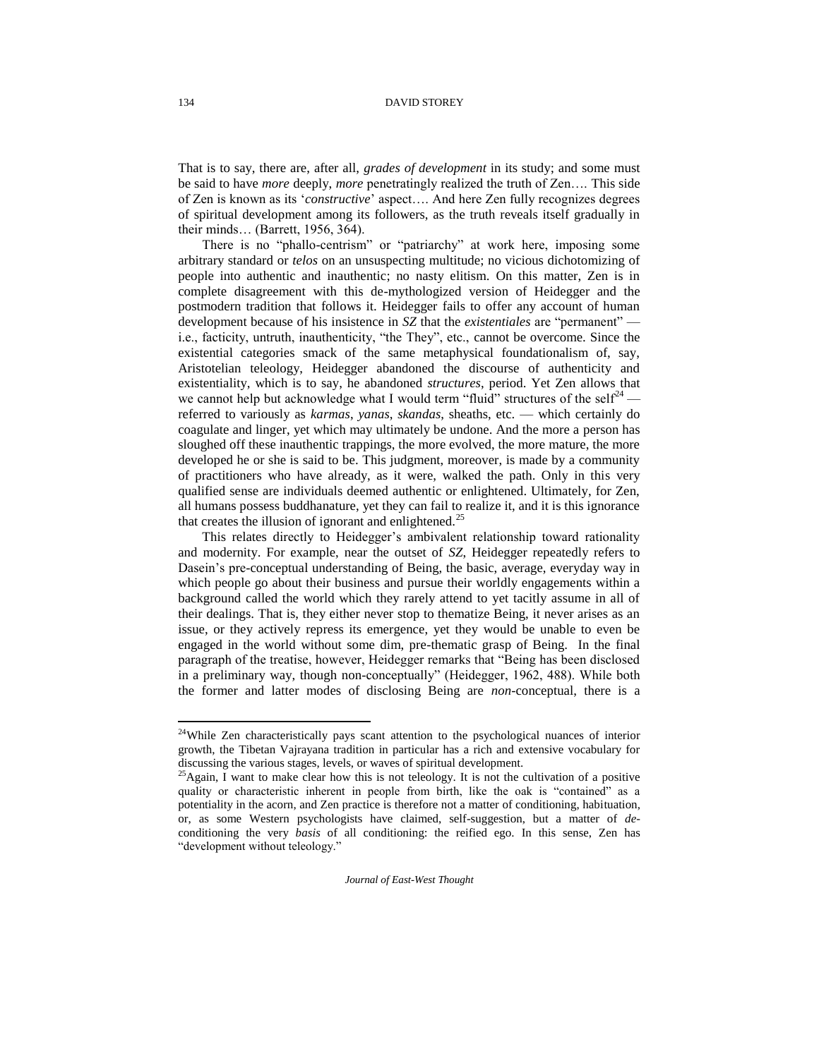That is to say, there are, after all, *grades of development* in its study; and some must be said to have *more* deeply, *more* penetratingly realized the truth of Zen…. This side of Zen is known as its '*constructive*' aspect…. And here Zen fully recognizes degrees of spiritual development among its followers, as the truth reveals itself gradually in their minds… (Barrett, 1956, 364).

There is no "phallo-centrism" or "patriarchy" at work here, imposing some arbitrary standard or *telos* on an unsuspecting multitude; no vicious dichotomizing of people into authentic and inauthentic; no nasty elitism. On this matter, Zen is in complete disagreement with this de-mythologized version of Heidegger and the postmodern tradition that follows it. Heidegger fails to offer any account of human development because of his insistence in *SZ* that the *existentiales* are "permanent" i.e., facticity, untruth, inauthenticity, "the They", etc., cannot be overcome. Since the existential categories smack of the same metaphysical foundationalism of, say, Aristotelian teleology, Heidegger abandoned the discourse of authenticity and existentiality, which is to say, he abandoned *structures*, period. Yet Zen allows that we cannot help but acknowledge what I would term "fluid" structures of the self<sup>24</sup> referred to variously as *karmas*, *yanas*, *skandas*, sheaths, etc. — which certainly do coagulate and linger, yet which may ultimately be undone. And the more a person has sloughed off these inauthentic trappings, the more evolved, the more mature, the more developed he or she is said to be. This judgment, moreover, is made by a community of practitioners who have already, as it were, walked the path. Only in this very qualified sense are individuals deemed authentic or enlightened. Ultimately, for Zen, all humans possess buddhanature, yet they can fail to realize it, and it is this ignorance that creates the illusion of ignorant and enlightened.<sup>25</sup>

This relates directly to Heidegger's ambivalent relationship toward rationality and modernity. For example, near the outset of *SZ*, Heidegger repeatedly refers to Dasein's pre-conceptual understanding of Being, the basic, average, everyday way in which people go about their business and pursue their worldly engagements within a background called the world which they rarely attend to yet tacitly assume in all of their dealings. That is, they either never stop to thematize Being, it never arises as an issue, or they actively repress its emergence, yet they would be unable to even be engaged in the world without some dim, pre-thematic grasp of Being. In the final paragraph of the treatise, however, Heidegger remarks that "Being has been disclosed in a preliminary way, though non-conceptually" (Heidegger, 1962, 488). While both the former and latter modes of disclosing Being are *non*-conceptual, there is a

*Journal of East-West Thought* 

 $24$ While Zen characteristically pays scant attention to the psychological nuances of interior growth, the Tibetan Vajrayana tradition in particular has a rich and extensive vocabulary for discussing the various stages, levels, or waves of spiritual development.

 $^{25}$ Again, I want to make clear how this is not teleology. It is not the cultivation of a positive quality or characteristic inherent in people from birth, like the oak is "contained" as a potentiality in the acorn, and Zen practice is therefore not a matter of conditioning, habituation, or, as some Western psychologists have claimed, self-suggestion, but a matter of *de*conditioning the very *basis* of all conditioning: the reified ego. In this sense, Zen has "development without teleology."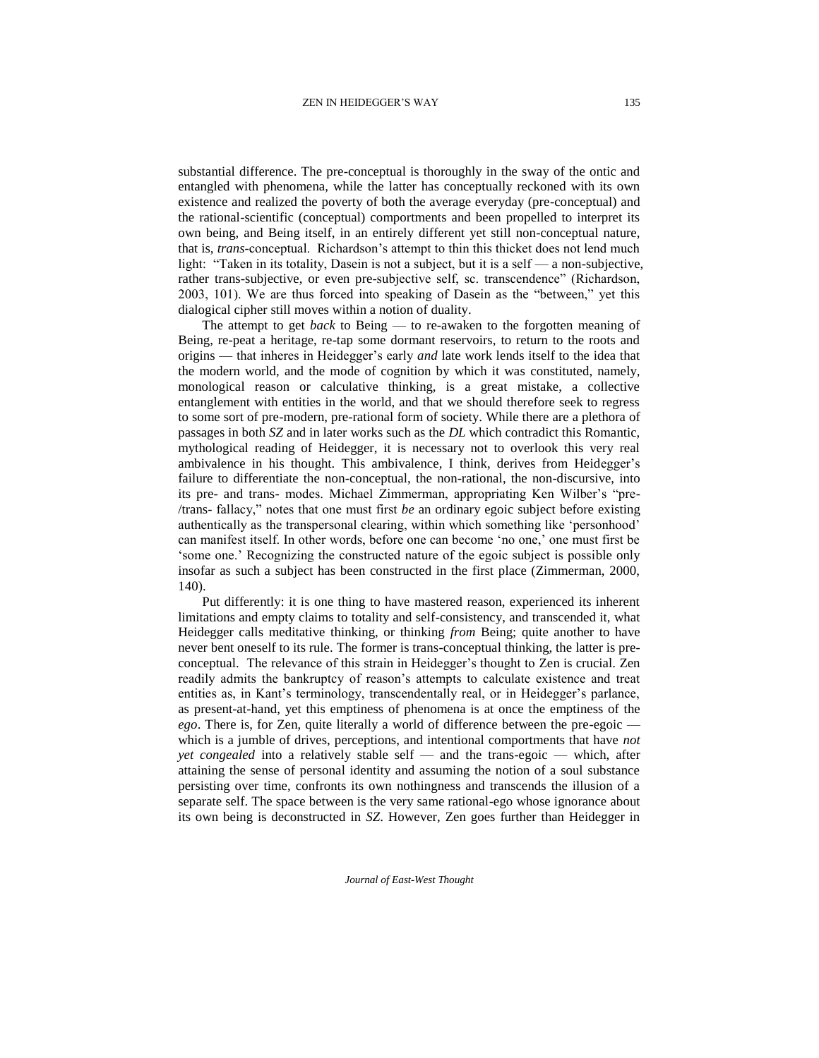substantial difference. The pre-conceptual is thoroughly in the sway of the ontic and entangled with phenomena, while the latter has conceptually reckoned with its own existence and realized the poverty of both the average everyday (pre-conceptual) and the rational-scientific (conceptual) comportments and been propelled to interpret its own being, and Being itself, in an entirely different yet still non-conceptual nature, that is, *trans*-conceptual. Richardson's attempt to thin this thicket does not lend much light: "Taken in its totality, Dasein is not a subject, but it is a self — a non-subjective, rather trans-subjective, or even pre-subjective self, sc. transcendence" (Richardson, 2003, 101). We are thus forced into speaking of Dasein as the "between," yet this dialogical cipher still moves within a notion of duality.

The attempt to get *back* to Being — to re-awaken to the forgotten meaning of Being, re-peat a heritage, re-tap some dormant reservoirs, to return to the roots and origins — that inheres in Heidegger's early *and* late work lends itself to the idea that the modern world, and the mode of cognition by which it was constituted, namely, monological reason or calculative thinking, is a great mistake, a collective entanglement with entities in the world, and that we should therefore seek to regress to some sort of pre-modern, pre-rational form of society. While there are a plethora of passages in both *SZ* and in later works such as the *DL* which contradict this Romantic, mythological reading of Heidegger, it is necessary not to overlook this very real ambivalence in his thought. This ambivalence, I think, derives from Heidegger's failure to differentiate the non-conceptual, the non-rational, the non-discursive, into its pre- and trans- modes. Michael Zimmerman, appropriating Ken Wilber's "pre- /trans- fallacy," notes that one must first *be* an ordinary egoic subject before existing authentically as the transpersonal clearing, within which something like 'personhood' can manifest itself. In other words, before one can become 'no one,' one must first be 'some one.' Recognizing the constructed nature of the egoic subject is possible only insofar as such a subject has been constructed in the first place (Zimmerman, 2000, 140).

Put differently: it is one thing to have mastered reason, experienced its inherent limitations and empty claims to totality and self-consistency, and transcended it, what Heidegger calls meditative thinking, or thinking *from* Being; quite another to have never bent oneself to its rule. The former is trans-conceptual thinking, the latter is preconceptual. The relevance of this strain in Heidegger's thought to Zen is crucial. Zen readily admits the bankruptcy of reason's attempts to calculate existence and treat entities as, in Kant's terminology, transcendentally real, or in Heidegger's parlance, as present-at-hand, yet this emptiness of phenomena is at once the emptiness of the *ego*. There is, for Zen, quite literally a world of difference between the pre-egoic which is a jumble of drives, perceptions, and intentional comportments that have *not yet congealed* into a relatively stable self — and the trans-egoic — which, after attaining the sense of personal identity and assuming the notion of a soul substance persisting over time, confronts its own nothingness and transcends the illusion of a separate self. The space between is the very same rational-ego whose ignorance about its own being is deconstructed in *SZ*. However, Zen goes further than Heidegger in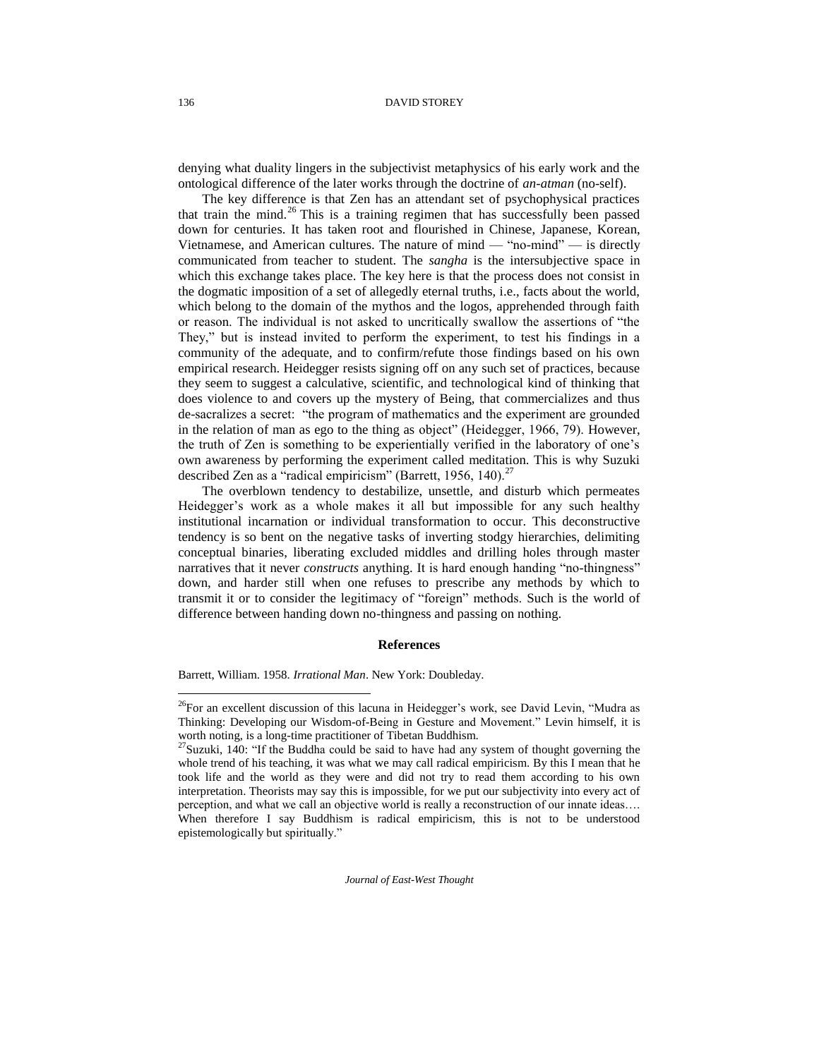denying what duality lingers in the subjectivist metaphysics of his early work and the ontological difference of the later works through the doctrine of *an-atman* (no-self).

The key difference is that Zen has an attendant set of psychophysical practices that train the mind.<sup>26</sup> This is a training regimen that has successfully been passed down for centuries. It has taken root and flourished in Chinese, Japanese, Korean, Vietnamese, and American cultures. The nature of mind — "no-mind" — is directly communicated from teacher to student. The *sangha* is the intersubjective space in which this exchange takes place. The key here is that the process does not consist in the dogmatic imposition of a set of allegedly eternal truths, i.e., facts about the world, which belong to the domain of the mythos and the logos, apprehended through faith or reason. The individual is not asked to uncritically swallow the assertions of "the They," but is instead invited to perform the experiment, to test his findings in a community of the adequate, and to confirm/refute those findings based on his own empirical research. Heidegger resists signing off on any such set of practices, because they seem to suggest a calculative, scientific, and technological kind of thinking that does violence to and covers up the mystery of Being, that commercializes and thus de-sacralizes a secret: "the program of mathematics and the experiment are grounded in the relation of man as ego to the thing as object" (Heidegger, 1966, 79). However, the truth of Zen is something to be experientially verified in the laboratory of one's own awareness by performing the experiment called meditation. This is why Suzuki described Zen as a "radical empiricism" (Barrett, 1956, 140). $^{27}$ 

The overblown tendency to destabilize, unsettle, and disturb which permeates Heidegger's work as a whole makes it all but impossible for any such healthy institutional incarnation or individual transformation to occur. This deconstructive tendency is so bent on the negative tasks of inverting stodgy hierarchies, delimiting conceptual binaries, liberating excluded middles and drilling holes through master narratives that it never *constructs* anything. It is hard enough handing "no-thingness" down, and harder still when one refuses to prescribe any methods by which to transmit it or to consider the legitimacy of "foreign" methods. Such is the world of difference between handing down no-thingness and passing on nothing.

### **References**

Barrett, William. 1958. *Irrational Man*. New York: Doubleday.

*Journal of East-West Thought* 

<sup>&</sup>lt;sup>26</sup>For an excellent discussion of this lacuna in Heidegger's work, see David Levin, "Mudra as Thinking: Developing our Wisdom-of-Being in Gesture and Movement." Levin himself, it is worth noting, is a long-time practitioner of Tibetan Buddhism.

<sup>&</sup>lt;sup>27</sup>Suzuki, 140: "If the Buddha could be said to have had any system of thought governing the whole trend of his teaching, it was what we may call radical empiricism. By this I mean that he took life and the world as they were and did not try to read them according to his own interpretation. Theorists may say this is impossible, for we put our subjectivity into every act of perception, and what we call an objective world is really a reconstruction of our innate ideas…. When therefore I say Buddhism is radical empiricism, this is not to be understood epistemologically but spiritually."